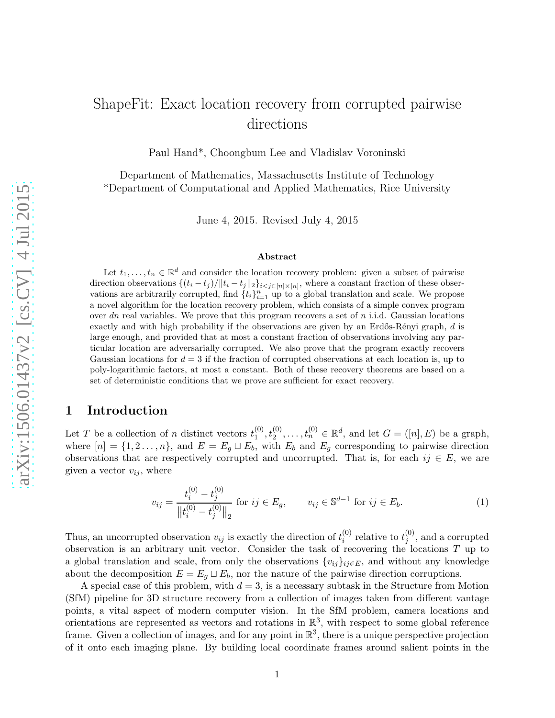# ShapeFit: Exact location recovery from corrupted pairwise directions

Paul Hand\*, Choongbum Lee and Vladislav Voroninski

Department of Mathematics, Massachusetts Institute of Technology \*Department of Computational and Applied Mathematics, Rice University

June 4, 2015. Revised July 4, 2015

#### Abstract

Let  $t_1, \ldots, t_n \in \mathbb{R}^d$  and consider the location recovery problem: given a subset of pairwise direction observations  $\{(t_i - t_j)/\|t_i - t_j\|_2\}_{i \leq j \in [n] \times [n]}$ , where a constant fraction of these observations are arbitrarily corrupted, find  $\{t_i\}_{i=1}^n$  up to a global translation and scale. We propose a novel algorithm for the location recovery problem, which consists of a simple convex program over dn real variables. We prove that this program recovers a set of  $n$  i.i.d. Gaussian locations exactly and with high probability if the observations are given by an Erdős-Rényi graph,  $d$  is large enough, and provided that at most a constant fraction of observations involving any particular location are adversarially corrupted. We also prove that the program exactly recovers Gaussian locations for  $d = 3$  if the fraction of corrupted observations at each location is, up to poly-logarithmic factors, at most a constant. Both of these recovery theorems are based on a set of deterministic conditions that we prove are sufficient for exact recovery.

# 1 Introduction

Let T be a collection of n distinct vectors  $t_1^{(0)}$  $t_1^{(0)}, t_2^{(0)}, \ldots, t_n^{(0)} \in \mathbb{R}^d$ , and let  $G = ([n], E)$  be a graph, where  $[n] = \{1, 2, \ldots, n\}$ , and  $E = E_g \sqcup E_b$ , with  $E_b$  and  $E_g$  corresponding to pairwise direction observations that are respectively corrupted and uncorrupted. That is, for each  $ij \in E$ , we are given a vector  $v_{ij}$ , where

<span id="page-0-0"></span>
$$
v_{ij} = \frac{t_i^{(0)} - t_j^{(0)}}{\|t_i^{(0)} - t_j^{(0)}\|_2} \text{ for } ij \in E_g, \qquad v_{ij} \in \mathbb{S}^{d-1} \text{ for } ij \in E_b.
$$
 (1)

Thus, an uncorrupted observation  $v_{ij}$  is exactly the direction of  $t_i^{(0)}$  $i^{(0)}$  relative to  $t^{(0)}_j$  $j^{(0)}$ , and a corrupted observation is an arbitrary unit vector. Consider the task of recovering the locations  $T$  up to a global translation and scale, from only the observations  $\{v_{ij}\}_{ij\in E}$ , and without any knowledge about the decomposition  $E = E_g \sqcup E_b$ , nor the nature of the pairwise direction corruptions.

A special case of this problem, with  $d = 3$ , is a necessary subtask in the Structure from Motion (SfM) pipeline for 3D structure recovery from a collection of images taken from different vantage points, a vital aspect of modern computer vision. In the SfM problem, camera locations and orientations are represented as vectors and rotations in  $\mathbb{R}^3$ , with respect to some global reference frame. Given a collection of images, and for any point in  $\mathbb{R}^3$ , there is a unique perspective projection of it onto each imaging plane. By building local coordinate frames around salient points in the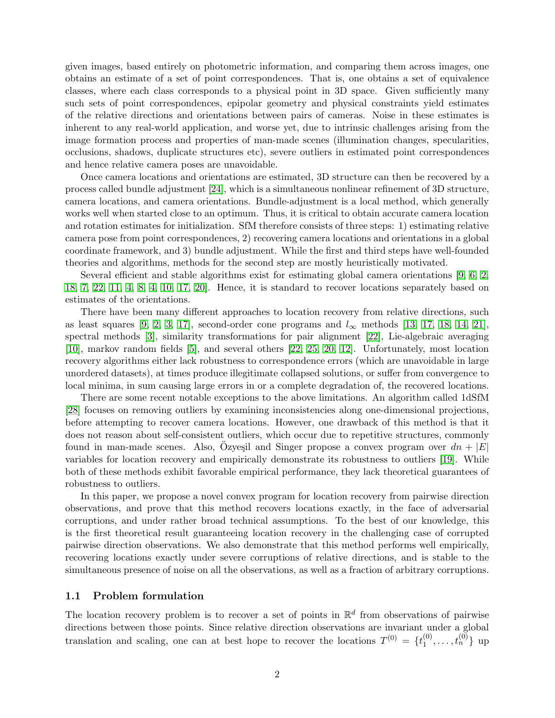given images, based entirely on photometric information, and comparing them across images, one obtains an estimate of a set of point correspondences. That is, one obtains a set of equivalence classes, where each class corresponds to a physical point in 3D space. Given sufficiently many such sets of point correspondences, epipolar geometry and physical constraints yield estimates of the relative directions and orientations between pairs of cameras. Noise in these estimates is inherent to any real-world application, and worse yet, due to intrinsic challenges arising from the image formation process and properties of man-made scenes (illumination changes, specularities, occlusions, shadows, duplicate structures etc), severe outliers in estimated point correspondences and hence relative camera poses are unavoidable.

Once camera locations and orientations are estimated, 3D structure can then be recovered by a process called bundle adjustment [\[24\]](#page-33-0), which is a simultaneous nonlinear refinement of 3D structure, camera locations, and camera orientations. Bundle-adjustment is a local method, which generally works well when started close to an optimum. Thus, it is critical to obtain accurate camera location and rotation estimates for initialization. SfM therefore consists of three steps: 1) estimating relative camera pose from point correspondences, 2) recovering camera locations and orientations in a global coordinate framework, and 3) bundle adjustment. While the first and third steps have well-founded theories and algorithms, methods for the second step are mostly heuristically motivated.

Several efficient and stable algorithms exist for estimating global camera orientations [\[9,](#page-32-0) [6,](#page-32-1) [2,](#page-31-0) [18,](#page-32-2) [7,](#page-32-3) [22,](#page-33-1) [11,](#page-32-4) [4,](#page-31-1) [8,](#page-32-5) [4,](#page-31-1) [10,](#page-32-6) [17,](#page-32-7) [20\]](#page-33-2). Hence, it is standard to recover locations separately based on estimates of the orientations.

There have been many different approaches to location recovery from relative directions, such as least squares [\[9,](#page-32-0) [2,](#page-31-0) [3,](#page-31-2) [17\]](#page-32-7), second-order cone programs and  $l_{\infty}$  methods [\[13,](#page-32-8) [17,](#page-32-7) [18,](#page-32-2) [14,](#page-32-9) [21\]](#page-33-3), spectral methods [\[3\]](#page-31-2), similarity transformations for pair alignment [\[22\]](#page-33-1), Lie-algebraic averaging [\[10\]](#page-32-6), markov random fields [\[5\]](#page-32-10), and several others [\[22,](#page-33-1) [25,](#page-33-4) [20,](#page-33-2) [12\]](#page-32-11). Unfortunately, most location recovery algorithms either lack robustness to correspondence errors (which are unavoidable in large unordered datasets), at times produce illegitimate collapsed solutions, or suffer from convergence to local minima, in sum causing large errors in or a complete degradation of, the recovered locations.

There are some recent notable exceptions to the above limitations. An algorithm called 1dSfM [\[28\]](#page-33-5) focuses on removing outliers by examining inconsistencies along one-dimensional projections, before attempting to recover camera locations. However, one drawback of this method is that it does not reason about self-consistent outliers, which occur due to repetitive structures, commonly found in man-made scenes. Also, Ozyeşil and Singer propose a convex program over  $dn + |E|$ variables for location recovery and empirically demonstrate its robustness to outliers [\[19\]](#page-32-12). While both of these methods exhibit favorable empirical performance, they lack theoretical guarantees of robustness to outliers.

In this paper, we propose a novel convex program for location recovery from pairwise direction observations, and prove that this method recovers locations exactly, in the face of adversarial corruptions, and under rather broad technical assumptions. To the best of our knowledge, this is the first theoretical result guaranteeing location recovery in the challenging case of corrupted pairwise direction observations. We also demonstrate that this method performs well empirically, recovering locations exactly under severe corruptions of relative directions, and is stable to the simultaneous presence of noise on all the observations, as well as a fraction of arbitrary corruptions.

## 1.1 Problem formulation

The location recovery problem is to recover a set of points in  $\mathbb{R}^d$  from observations of pairwise directions between those points. Since relative direction observations are invariant under a global translation and scaling, one can at best hope to recover the locations  $T^{(0)} = \{t_1^{(0)}\}$  $\{0, \ldots, t_n^{(0)}\}$  up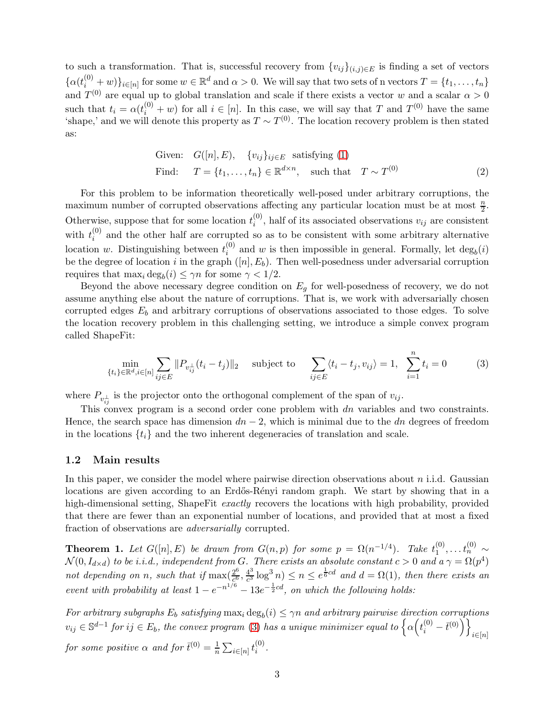to such a transformation. That is, successful recovery from  $\{v_{ij}\}_{(i,j)\in E}$  is finding a set of vectors  $\{\alpha(t_i^{(0)}+w)\}_{i\in[n]}$  for some  $w\in\mathbb{R}^d$  and  $\alpha>0$ . We will say that two sets of n vectors  $T=\{t_1,\ldots,t_n\}$ and  $T^{(0)}$  are equal up to global translation and scale if there exists a vector w and a scalar  $\alpha > 0$ such that  $t_i = \alpha(t_i^{(0)} + w)$  for all  $i \in [n]$ . In this case, we will say that T and  $T^{(0)}$  have the same 'shape,' and we will denote this property as  $T \sim T^{(0)}$ . The location recovery problem is then stated as:

Given: 
$$
G([n], E), \quad \{v_{ij}\}_{ij \in E} \text{ satisfying (1)}
$$
  
Find:  $T = \{t_1, \ldots, t_n\} \in \mathbb{R}^{d \times n}$ , such that  $T \sim T^{(0)}$  (2)

For this problem to be information theoretically well-posed under arbitrary corruptions, the maximum number of corrupted observations affecting any particular location must be at most  $\frac{n}{2}$ . Otherwise, suppose that for some location  $t_i^{(0)}$  $i^{(0)}$ , half of its associated observations  $v_{ij}$  are consistent with  $t_i^{(0)}$  $i^{(0)}$  and the other half are corrupted so as to be consistent with some arbitrary alternative location w. Distinguishing between  $t_i^{(0)}$  $i^{(0)}$  and w is then impossible in general. Formally, let  $\deg_b(i)$ be the degree of location i in the graph  $([n], E_b)$ . Then well-posedness under adversarial corruption requires that  $\max_i \deg_b(i) \leq \gamma n$  for some  $\gamma < 1/2$ .

Beyond the above necessary degree condition on  $E<sub>g</sub>$  for well-posedness of recovery, we do not assume anything else about the nature of corruptions. That is, we work with adversarially chosen corrupted edges  $E_b$  and arbitrary corruptions of observations associated to those edges. To solve the location recovery problem in this challenging setting, we introduce a simple convex program called ShapeFit:

<span id="page-2-0"></span>
$$
\min_{\{t_i\} \in \mathbb{R}^d, i \in [n]} \sum_{ij \in E} ||P_{v_{ij}^{\perp}}(t_i - t_j)||_2 \quad \text{subject to} \quad \sum_{ij \in E} \langle t_i - t_j, v_{ij} \rangle = 1, \sum_{i=1}^n t_i = 0 \tag{3}
$$

where  $P_{v_{ij}^{\perp}}$  is the projector onto the orthogonal complement of the span of  $v_{ij}$ .

This convex program is a second order cone problem with dn variables and two constraints. Hence, the search space has dimension  $dn - 2$ , which is minimal due to the dn degrees of freedom in the locations  $\{t_i\}$  and the two inherent degeneracies of translation and scale.

#### 1.2 Main results

In this paper, we consider the model where pairwise direction observations about  $n$  i.i.d. Gaussian locations are given according to an Erdős-Rényi random graph. We start by showing that in a high-dimensional setting, ShapeFit *exactly* recovers the locations with high probability, provided that there are fewer than an exponential number of locations, and provided that at most a fixed fraction of observations are *adversarially* corrupted.

**Theorem 1.** Let  $G([n], E)$  be drawn from  $G(n, p)$  for some  $p = \Omega(n^{-1/4})$ . Take  $t_1^{(0)}$  $t_1^{(0)}, \ldots t_n^{(0)} \sim$  $\mathcal{N}(0, I_{d \times d})$  *to be i.i.d., independent from* G. There exists an absolute constant  $c > 0$  and  $a \gamma = \Omega(p^4)$ not depending on *n*, such that if  $\max(\frac{2^6}{6^6})$  $\frac{2^6}{c^6}, \frac{4^3}{c^3}$  $\frac{4^3}{c^3} \log^3 n) \leq n \leq e^{\frac{1}{6}cd}$  and  $d = \Omega(1)$ , then there exists an *event with probability at least*  $1 - e^{-n^{1/6}} - 13e^{-\frac{1}{2}cd}$ , *on which the following holds:* 

For arbitrary subgraphs  $E_b$  satisfying  $\max_i \deg_b(i) \leq \gamma n$  and arbitrary pairwise direction corruptions  $v_{ij} \in \mathbb{S}^{d-1}$  for  $ij \in E_b$ , the convex program [\(3\)](#page-2-0) has a unique minimizer equal to  $\left\{ \alpha \left(t_i^{(0)} - \bar{t}^{(0)}\right) \right\}_{i \in [n]}$ *for some positive*  $\alpha$  *and for*  $\bar{t}^{(0)} = \frac{1}{n}$  $\frac{1}{n}\sum_{i\in[n]}t_i^{(0)}$ i *.*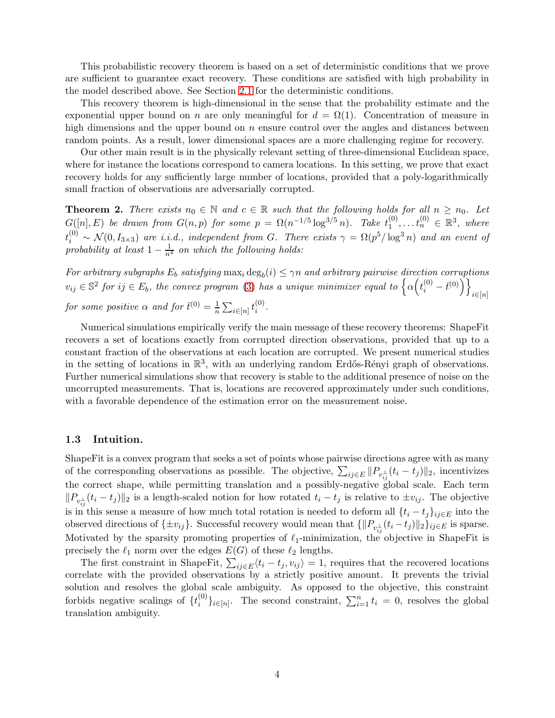This probabilistic recovery theorem is based on a set of deterministic conditions that we prove are sufficient to guarantee exact recovery. These conditions are satisfied with high probability in the model described above. See Section [2.1](#page-5-0) for the deterministic conditions.

This recovery theorem is high-dimensional in the sense that the probability estimate and the exponential upper bound on n are only meaningful for  $d = \Omega(1)$ . Concentration of measure in high dimensions and the upper bound on  $n$  ensure control over the angles and distances between random points. As a result, lower dimensional spaces are a more challenging regime for recovery.

Our other main result is in the physically relevant setting of three-dimensional Euclidean space, where for instance the locations correspond to camera locations. In this setting, we prove that exact recovery holds for any sufficiently large number of locations, provided that a poly-logarithmically small fraction of observations are adversarially corrupted.

**Theorem 2.** *There exists*  $n_0 \in \mathbb{N}$  *and*  $c \in \mathbb{R}$  *such that the following holds for all*  $n \geq n_0$ *. Let*  $G([n], E)$  *be drawn from*  $G(n, p)$  *for some*  $p = \Omega(n^{-1/5} \log^{3/5} n)$ *. Take*  $t_1^{(0)}$  $t_1^{(0)}, \ldots t_n^{(0)} \in \mathbb{R}^3$ , where  $t_i^{(0)} \sim \mathcal{N}(0, I_{3\times3})$  are i.i.d., independent from G. There exists  $\gamma = \Omega(p^5/\log^3 n)$  and an event of  $\text{probability at least } 1 - \frac{1}{n^4}$  *on which the following holds:* 

*For arbitrary subgraphs*  $E_b$  *satisfying*  $\max_i \deg_b(i) \leq \gamma n$  *and arbitrary pairwise direction corruptions*  $v_{ij} \in \mathbb{S}^2$  for  $ij \in E_b$ , the convex program [\(3\)](#page-2-0) has a unique minimizer equal to  $\left\{ \alpha \left(t_i^{(0)} - \bar{t}^{(0)}\right) \right\}_{i \in [n]}$ *for some positive*  $\alpha$  *and for*  $\bar{t}^{(0)} = \frac{1}{n}$  $\frac{1}{n}\sum_{i\in[n]}t_i^{(0)}$ i *.*

Numerical simulations empirically verify the main message of these recovery theorems: ShapeFit recovers a set of locations exactly from corrupted direction observations, provided that up to a constant fraction of the observations at each location are corrupted. We present numerical studies in the setting of locations in  $\mathbb{R}^3$ , with an underlying random Erdős-Rényi graph of observations. Further numerical simulations show that recovery is stable to the additional presence of noise on the uncorrupted measurements. That is, locations are recovered approximately under such conditions, with a favorable dependence of the estimation error on the measurement noise.

## 1.3 Intuition.

ShapeFit is a convex program that seeks a set of points whose pairwise directions agree with as many of the corresponding observations as possible. The objective,  $\sum_{ij\in E} ||P_{v_{ij}^{\perp}}(t_i - t_j)||_2$ , incentivizes the correct shape, while permitting translation and a possibly-negative global scale. Each term  $||P_{v_{ij}^{\perp}}(t_i - t_j)||_2$  is a length-scaled notion for how rotated  $t_i - t_j$  is relative to  $\pm v_{ij}$ . The objective is in this sense a measure of how much total rotation is needed to deform all  $\{t_i - t_j\}_{ij \in E}$  into the observed directions of  $\{\pm v_{ij}\}$ . Successful recovery would mean that  $\{\|P_{v_{ij}^\perp}(t_i-t_j)\|_2\}_{ij\in E}$  is sparse. Motivated by the sparsity promoting properties of  $\ell_1$ -minimization, the objective in ShapeFit is precisely the  $\ell_1$  norm over the edges  $E(G)$  of these  $\ell_2$  lengths.

The first constraint in ShapeFit,  $\sum_{ij \in E} \langle t_i - t_j, v_{ij} \rangle = 1$ , requires that the recovered locations correlate with the provided observations by a strictly positive amount. It prevents the trivial solution and resolves the global scale ambiguity. As opposed to the objective, this constraint forbids negative scalings of  $\{t_i^{(0)}\}$  $\{e^{(0)}\}_{i\in[n]}$ . The second constraint,  $\sum_{i=1}^{n} t_i = 0$ , resolves the global translation ambiguity.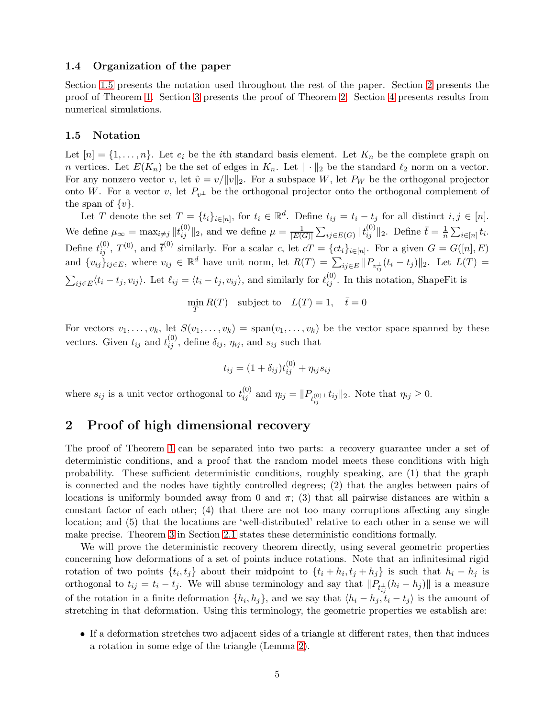## 1.4 Organization of the paper

Section [1.5](#page-4-0) presents the notation used throughout the rest of the paper. Section [2](#page-4-1) presents the proof of Theorem [1.](#page-18-0) Section [3](#page-19-0) presents the proof of Theorem [2.](#page-29-0) Section [4](#page-29-1) presents results from numerical simulations.

### <span id="page-4-0"></span>1.5 Notation

Let  $[n] = \{1, \ldots, n\}$ . Let  $e_i$  be the *i*th standard basis element. Let  $K_n$  be the complete graph on n vertices. Let  $E(K_n)$  be the set of edges in  $K_n$ . Let  $\|\cdot\|_2$  be the standard  $\ell_2$  norm on a vector. For any nonzero vector v, let  $\hat{v} = v/||v||_2$ . For a subspace W, let P<sub>W</sub> be the orthogonal projector onto W. For a vector v, let  $P_{v^{\perp}}$  be the orthogonal projector onto the orthogonal complement of the span of  $\{v\}$ .

Let T denote the set  $T = \{t_i\}_{i \in [n]}$ , for  $t_i \in \mathbb{R}^d$ . Define  $t_{ij} = t_i - t_j$  for all distinct  $i, j \in [n]$ . We define  $\mu_{\infty} = \max_{i \neq j} ||t_{ij}^{(0)}||_2$ , and we define  $\mu = \frac{1}{|E(i)|}$  $\frac{1}{|E(G)|} \sum_{ij \in E(G)} ||t_{ij}^{(0)}||_2$ . Define  $\bar{t} = \frac{1}{n}$  $\frac{1}{n} \sum_{i \in [n]} t_i$ . Define  $t_{ij}^{(0)}$ ,  $T^{(0)}$ , and  $\overline{t}^{(0)}$  similarly. For a scalar c, let  $cT = \{ct_i\}_{i \in [n]}$ . For a given  $G = G([n], E)$ and  $\{v_{ij}\}_{ij\in E}$ , where  $v_{ij} \in \mathbb{R}^d$  have unit norm, let  $R(T) = \sum_{ij\in E} ||P_{v_{ij}^{\perp}}(t_i - t_j)||_2$ . Let  $L(T) =$  $\sum_{ij\in E}\langle t_i-t_j,v_{ij}\rangle$ . Let  $\ell_{ij}=\langle t_i-t_j,v_{ij}\rangle$ , and similarly for  $\ell_{ij}^{(0)}$ . In this notation, ShapeFit is

$$
\min_{T} R(T) \quad \text{subject to} \quad L(T) = 1, \quad \bar{t} = 0
$$

For vectors  $v_1, \ldots, v_k$ , let  $S(v_1, \ldots, v_k) = \text{span}(v_1, \ldots, v_k)$  be the vector space spanned by these vectors. Given  $t_{ij}$  and  $t_{ij}^{(0)}$ , define  $\delta_{ij}$ ,  $\eta_{ij}$ , and  $s_{ij}$  such that

$$
t_{ij} = (1 + \delta_{ij})t_{ij}^{(0)} + \eta_{ij}s_{ij}
$$

where  $s_{ij}$  is a unit vector orthogonal to  $t_{ij}^{(0)}$  and  $\eta_{ij} = ||P_{t_{ij}^{(0)} \perp} t_{ij}||_2$ . Note that  $\eta_{ij} \geq 0$ .

# <span id="page-4-1"></span>2 Proof of high dimensional recovery

The proof of Theorem [1](#page-18-0) can be separated into two parts: a recovery guarantee under a set of deterministic conditions, and a proof that the random model meets these conditions with high probability. These sufficient deterministic conditions, roughly speaking, are (1) that the graph is connected and the nodes have tightly controlled degrees; (2) that the angles between pairs of locations is uniformly bounded away from 0 and  $\pi$ ; (3) that all pairwise distances are within a constant factor of each other; (4) that there are not too many corruptions affecting any single location; and (5) that the locations are 'well-distributed' relative to each other in a sense we will make precise. Theorem [3](#page-5-1) in Section [2.1](#page-5-0) states these deterministic conditions formally.

We will prove the deterministic recovery theorem directly, using several geometric properties concerning how deformations of a set of points induce rotations. Note that an infinitesimal rigid rotation of two points  $\{t_i, t_j\}$  about their midpoint to  $\{t_i + h_i, t_j + h_j\}$  is such that  $h_i - h_j$  is orthogonal to  $t_{ij} = t_i - t_j$ . We will abuse terminology and say that  $||P_{t_{ij}^{\perp}}(h_i - h_j)||$  is a measure of the rotation in a finite deformation  $\{h_i, h_j\}$ , and we say that  $\langle h_i - h_j, t_i - t_j \rangle$  is the amount of stretching in that deformation. Using this terminology, the geometric properties we establish are:

• If a deformation stretches two adjacent sides of a triangle at different rates, then that induces a rotation in some edge of the triangle (Lemma [2\)](#page-6-0).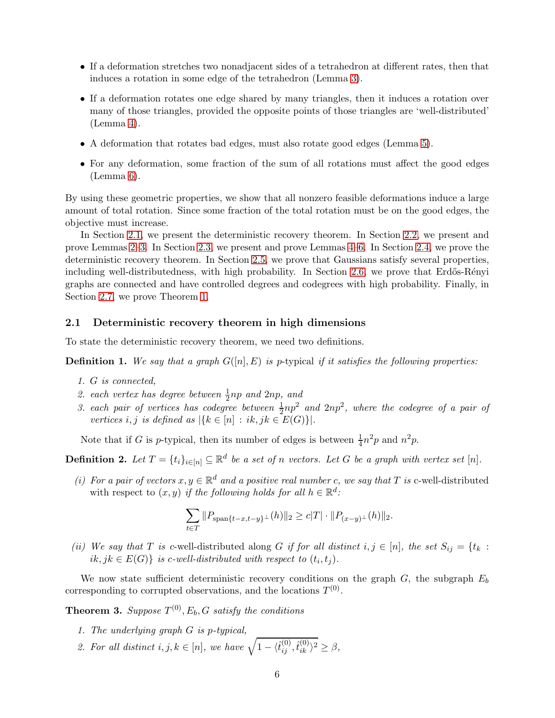- If a deformation stretches two nonadjacent sides of a tetrahedron at different rates, then that induces a rotation in some edge of the tetrahedron (Lemma [3\)](#page-7-0).
- If a deformation rotates one edge shared by many triangles, then it induces a rotation over many of those triangles, provided the opposite points of those triangles are 'well-distributed'  $(Lemma 4).$  $(Lemma 4).$  $(Lemma 4).$
- A deformation that rotates bad edges, must also rotate good edges (Lemma [5\)](#page-8-1).
- For any deformation, some fraction of the sum of all rotations must affect the good edges (Lemma [6\)](#page-9-0).

By using these geometric properties, we show that all nonzero feasible deformations induce a large amount of total rotation. Since some fraction of the total rotation must be on the good edges, the objective must increase.

In Section [2.1,](#page-5-0) we present the deterministic recovery theorem. In Section [2.2,](#page-6-1) we present and prove Lemmas [2](#page-6-0)[–3.](#page-7-0) In Section [2.3,](#page-8-2) we present and prove Lemmas [4–](#page-8-0)[6.](#page-9-0) In Section [2.4,](#page-9-1) we prove the deterministic recovery theorem. In Section [2.5,](#page-13-0) we prove that Gaussians satisfy several properties, including well-distributedness, with high probability. In Section [2.6,](#page-18-1) we prove that Erdős-Rényi graphs are connected and have controlled degrees and codegrees with high probability. Finally, in Section [2.7,](#page-18-2) we prove Theorem [1.](#page-18-0)

## <span id="page-5-0"></span>2.1 Deterministic recovery theorem in high dimensions

To state the deterministic recovery theorem, we need two definitions.

**Definition 1.** We say that a graph  $G([n], E)$  is p-typical if it satisfies the following properties:

- *1.* G *is connected,*
- 2. each vertex has degree between  $\frac{1}{2}$ np and  $2$ np, and
- 3. each pair of vertices has codegree between  $\frac{1}{2}np^2$  and  $2np^2$ , where the codegree of a pair of *vertices i, j is defined as*  $|\{k \in [n] : ik, jk \in E(G)\}|$ *.*

Note that if G is p-typical, then its number of edges is between  $\frac{1}{4}n^2p$  and  $n^2p$ .

**Definition 2.** Let  $T = \{t_i\}_{i \in [n]} \subseteq \mathbb{R}^d$  be a set of n vectors. Let G be a graph with vertex set  $[n]$ .

(*i*) For a pair of vectors  $x, y \in \mathbb{R}^d$  and a positive real number c, we say that T is c-well-distributed with respect to  $(x, y)$  *if the following holds for all*  $h \in \mathbb{R}^d$ :

$$
\sum_{t \in T} ||P_{\text{span}\{t-x,t-y\}^{\perp}}(h)||_2 \ge c|T| \cdot ||P_{(x-y)^{\perp}}(h)||_2.
$$

*(ii)* We say that T is c-well-distributed along G if for all distinct  $i, j \in [n]$ , the set  $S_{ij} = \{t_k : S_{ij} = 0\}$  $ik, jk \in E(G)$  *is c-well-distributed with respect to*  $(t_i, t_j)$ *.* 

We now state sufficient deterministic recovery conditions on the graph  $G$ , the subgraph  $E_b$ corresponding to corrupted observations, and the locations  $T^{(0)}$ .

<span id="page-5-1"></span>**Theorem 3.** Suppose  $T^{(0)}$ ,  $E_b$ , G satisfy the conditions

- *1. The underlying graph* G *is* p*-typical,*
- 2. For all distinct  $i, j, k \in [n]$ , we have  $\sqrt{1 \langle \hat{t}_{ij}^{(0)}, \hat{t}_{ik}^{(0)} \rangle^2} \geq \beta$ ,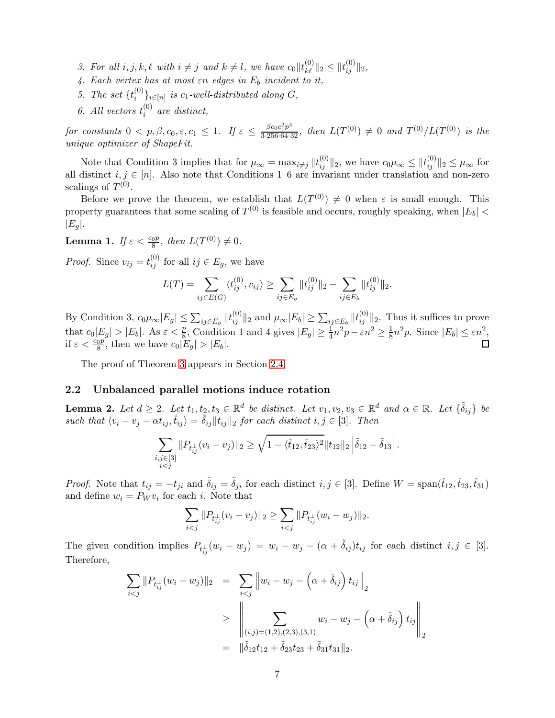- *3. For all*  $i, j, k, \ell$  *with*  $i \neq j$  *and*  $k \neq l$ *, we have*  $c_0 || t_{k\ell}^{(0)} ||_2 \leq ||t_{ij}^{(0)} ||_2$ *,*
- *4. Each vertex has at most* εn *edges in* E<sup>b</sup> *incident to it,*
- *5. The set*  $\{t_i^{(0)}\}$  $\{S_i^{(0)}\}_{i \in [n]}$  is  $c_1$ -well-distributed along  $G$ ,
- 6. All vectors  $t_i^{(0)}$ i *are distinct,*

 $for\ constants\ 0 < p, \beta, c_0, \varepsilon, c_1 \leq 1$ . If  $\varepsilon \leq \frac{\beta c_0 c_1^2 p^4}{3 \cdot 256 \cdot 64 \cdot 32}$ , then  $L(T^{(0)}) \neq 0$  and  $T^{(0)}/L(T^{(0)})$  is the *unique optimizer of ShapeFit.*

Note that Condition 3 implies that for  $\mu_{\infty} = \max_{i \neq j} ||t_{ij}^{(0)}||_2$ , we have  $c_0\mu_{\infty} \leq ||t_{ij}^{(0)}||_2 \leq \mu_{\infty}$  for all distinct  $i, j \in [n]$ . Also note that Conditions 1–6 are invariant under translation and non-zero scalings of  $T^{(0)}$ .

Before we prove the theorem, we establish that  $L(T^{(0)}) \neq 0$  when  $\varepsilon$  is small enough. This property guarantees that some scaling of  $T^{(0)}$  is feasible and occurs, roughly speaking, when  $|E_b|$  <  $|E_q|$ .

<span id="page-6-2"></span>**Lemma 1.** *If*  $\varepsilon < \frac{c_0 p}{8}$ , *then*  $L(T^{(0)}) \neq 0$ *.* 

*Proof.* Since  $v_{ij} = t_{ij}^{(0)}$  for all  $ij \in E_g$ , we have

$$
L(T) = \sum_{ij \in E(G)} \langle t_{ij}^{(0)}, v_{ij} \rangle \ge \sum_{ij \in E_g} ||t_{ij}^{(0)}||_2 - \sum_{ij \in E_b} ||t_{ij}^{(0)}||_2.
$$

By Condition 3,  $c_0\mu_{\infty}|E_g| \leq \sum_{ij \in E_g} ||t_{ij}^{(0)}||_2$  and  $\mu_{\infty}|E_b| \geq \sum_{ij \in E_b} ||t_{ij}^{(0)}||_2$ . Thus it suffices to prove that  $c_0|E_g| > |E_b|$ . As  $\varepsilon < \frac{p}{8}$ , Condition 1 and 4 gives  $|E_g| \ge \frac{1}{4}n^2p - \varepsilon n^2 \ge \frac{1}{8}$  $\frac{1}{8}n^2p$ . Since  $|E_b| \le \varepsilon n^2$ , if  $\varepsilon < \frac{c_0 p}{8}$ , then we have  $c_0 |E_g| > |E_b|$ .

The proof of Theorem [3](#page-5-1) appears in Section [2.4.](#page-9-1)

## <span id="page-6-1"></span>2.2 Unbalanced parallel motions induce rotation

<span id="page-6-0"></span>**Lemma 2.** Let  $d \geq 2$ . Let  $t_1, t_2, t_3 \in \mathbb{R}^d$  be distinct. Let  $v_1, v_2, v_3 \in \mathbb{R}^d$  and  $\alpha \in \mathbb{R}$ . Let  $\{\tilde{\delta}_{ij}\}\$  be *such that*  $\langle v_i - v_j - \alpha t_{ij}, \hat{t}_{ij} \rangle = \tilde{\delta}_{ij} ||t_{ij}||_2$  *for each distinct*  $i, j \in [3]$ *. Then* 

$$
\sum_{\substack{i,j\in [3]\\i
$$

*Proof.* Note that  $t_{ij} = -t_{ji}$  and  $\tilde{\delta}_{ij} = \tilde{\delta}_{ji}$  for each distinct  $i, j \in [3]$ . Define  $W = \text{span}(\hat{t}_{12}, \hat{t}_{23}, \hat{t}_{31})$ and define  $w_i = P_W v_i$  for each *i*. Note that

$$
\sum_{i < j} \|P_{t_{ij}^\perp}(v_i - v_j)\|_2 \ge \sum_{i < j} \|P_{t_{ij}^\perp}(w_i - w_j)\|_2.
$$

The given condition implies  $P_{t_{ij}^{\perp}}(w_i - w_j) = w_i - w_j - (\alpha + \tilde{\delta}_{ij})t_{ij}$  for each distinct  $i, j \in [3]$ . Therefore,

$$
\sum_{i < j} \|P_{t_{ij}^\perp}(w_i - w_j)\|_2 = \sum_{i < j} \left\|w_i - w_j - \left(\alpha + \tilde{\delta}_{ij}\right) t_{ij}\right\|_2
$$
\n
$$
\geq \left\|\sum_{(i,j) = (1,2), (2,3), (3,1)} w_i - w_j - \left(\alpha + \tilde{\delta}_{ij}\right) t_{ij}\right\|_2
$$
\n
$$
= \|\tilde{\delta}_{12} t_{12} + \tilde{\delta}_{23} t_{23} + \tilde{\delta}_{31} t_{31}\|_2.
$$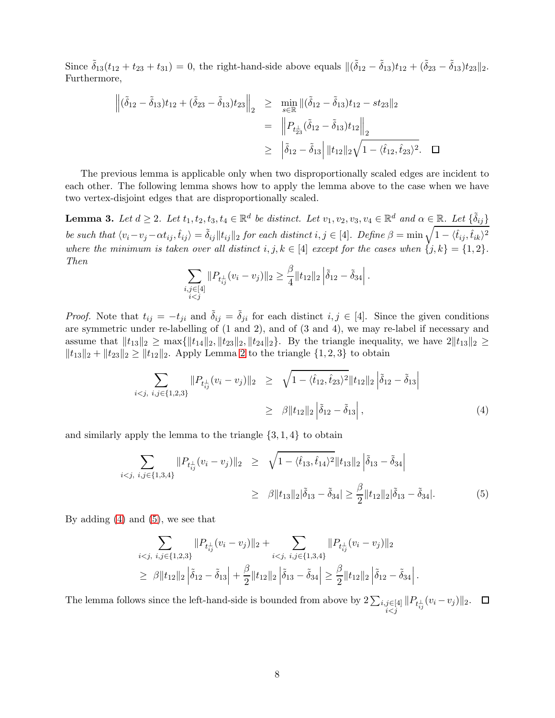Since  $\tilde{\delta}_{13}(t_{12} + t_{23} + t_{31}) = 0$ , the right-hand-side above equals  $\|(\tilde{\delta}_{12} - \tilde{\delta}_{13})t_{12} + (\tilde{\delta}_{23} - \tilde{\delta}_{13})t_{23}\|_2$ . Furthermore,

$$
\begin{aligned}\n\left\| (\tilde{\delta}_{12} - \tilde{\delta}_{13}) t_{12} + (\tilde{\delta}_{23} - \tilde{\delta}_{13}) t_{23} \right\|_2 &\geq \min_{s \in \mathbb{R}} \| (\tilde{\delta}_{12} - \tilde{\delta}_{13}) t_{12} - st_{23} \|_2 \\
&= \left\| P_{t_{23}^{\perp}} (\tilde{\delta}_{12} - \tilde{\delta}_{13}) t_{12} \right\|_2 \\
&\geq \left\| \tilde{\delta}_{12} - \tilde{\delta}_{13} \right| \| t_{12} \|_2 \sqrt{1 - \langle t_{12}, t_{23} \rangle^2}.\n\end{aligned}
$$

The previous lemma is applicable only when two disproportionally scaled edges are incident to each other. The following lemma shows how to apply the lemma above to the case when we have two vertex-disjoint edges that are disproportionally scaled.

<span id="page-7-0"></span>**Lemma 3.** Let  $d \geq 2$ . Let  $t_1, t_2, t_3, t_4 \in \mathbb{R}^d$  be distinct. Let  $v_1, v_2, v_3, v_4 \in \mathbb{R}^d$  and  $\alpha \in \mathbb{R}$ . Let  $\{\tilde{\delta}_{ij}\}$  $be \ such \ that \ \langle v_i-v_j-\alpha t_{ij},\hat{t}_{ij}\rangle = \tilde{\delta}_{ij} \|t_{ij}\|_2 \ for \ each \ distinct \ i,j \in [4]. \ \ Define \ \beta = \min \sqrt{1-\langle \hat{t}_{ij},\hat{t}_{ik}\rangle^2}$ *where the minimum is taken over all distinct*  $i, j, k \in [4]$  *except for the cases when*  $\{j, k\} = \{1, 2\}$ *. Then*

$$
\sum_{\substack{i,j\in[4]\\i
$$

*Proof.* Note that  $t_{ij} = -t_{ji}$  and  $\tilde{\delta}_{ij} = \tilde{\delta}_{ji}$  for each distinct  $i, j \in [4]$ . Since the given conditions are symmetric under re-labelling of (1 and 2), and of (3 and 4), we may re-label if necessary and assume that  $||t_{13}||_2 \ge \max\{||t_{14}||_2, ||t_{23}||_2, ||t_{24}||_2\}$ . By the triangle inequality, we have  $2||t_{13}||_2 \ge$  $||t_{13}||_2 + ||t_{23}||_2 \ge ||t_{12}||_2$ . Apply Lemma [2](#page-6-0) to the triangle  $\{1, 2, 3\}$  to obtain

<span id="page-7-1"></span>
$$
\sum_{i < j, \ i, j \in \{1, 2, 3\}} \| P_{t_{ij}^\perp} (v_i - v_j) \|_2 \geq \sqrt{1 - \langle \hat{t}_{12}, \hat{t}_{23} \rangle^2} \| t_{12} \|_2 \left| \tilde{\delta}_{12} - \tilde{\delta}_{13} \right|
$$
\n
$$
\geq \beta \| t_{12} \|_2 \left| \tilde{\delta}_{12} - \tilde{\delta}_{13} \right|, \tag{4}
$$

and similarly apply the lemma to the triangle  $\{3, 1, 4\}$  to obtain

<span id="page-7-2"></span>
$$
\sum_{i < j, \ i, j \in \{1, 3, 4\}} \| P_{t_{ij}^\perp} (v_i - v_j) \|_2 \geq \sqrt{1 - \langle \hat{t}_{13}, \hat{t}_{14} \rangle^2} \| t_{13} \|_2 \left| \tilde{\delta}_{13} - \tilde{\delta}_{34} \right|
$$
\n
$$
\geq \beta \| t_{13} \|_2 |\tilde{\delta}_{13} - \tilde{\delta}_{34}| \geq \frac{\beta}{2} \| t_{12} \|_2 |\tilde{\delta}_{13} - \tilde{\delta}_{34}|. \tag{5}
$$

By adding [\(4\)](#page-7-1) and [\(5\)](#page-7-2), we see that

$$
\sum_{i < j, \ i, j \in \{1, 2, 3\}} \| P_{t_{ij}^\perp} (v_i - v_j) \|_2 + \sum_{i < j, \ i, j \in \{1, 3, 4\}} \| P_{t_{ij}^\perp} (v_i - v_j) \|_2
$$
\n
$$
\geq \beta \| t_{12} \|_2 \left| \tilde{\delta}_{12} - \tilde{\delta}_{13} \right| + \frac{\beta}{2} \| t_{12} \|_2 \left| \tilde{\delta}_{13} - \tilde{\delta}_{34} \right| \geq \frac{\beta}{2} \| t_{12} \|_2 \left| \tilde{\delta}_{12} - \tilde{\delta}_{34} \right|.
$$

The lemma follows since the left-hand-side is bounded from above by  $2\sum_{\substack{i,j\in[4]\\i\leq j}}||P_{t_{ij}^{\perp}}(v_i-v_j)||_2$ .  $\Box$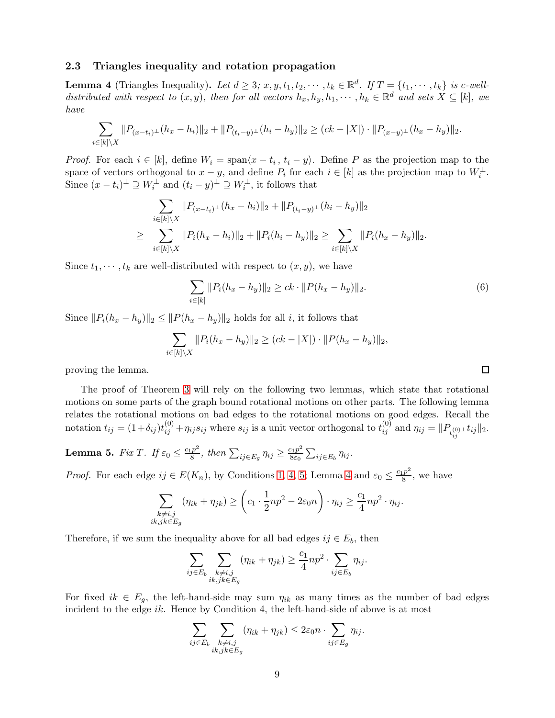## <span id="page-8-2"></span>2.3 Triangles inequality and rotation propagation

<span id="page-8-0"></span>**Lemma 4** (Triangles Inequality). Let  $d \geq 3$ ;  $x, y, t_1, t_2, \dots, t_k \in \mathbb{R}^d$ . If  $T = \{t_1, \dots, t_k\}$  is c-well*distributed with respect to*  $(x, y)$ *, then for all vectors*  $h_x, h_y, h_1, \cdots, h_k \in \mathbb{R}^d$  *and sets*  $X \subseteq [k]$ *, we have*

$$
\sum_{i\in[k]\setminus X}||P_{(x-t_i)^{\perp}}(h_x-h_i)||_2+||P_{(t_i-y)^{\perp}}(h_i-h_y)||_2 \geq (ck-|X|)\cdot ||P_{(x-y)^{\perp}}(h_x-h_y)||_2.
$$

*Proof.* For each  $i \in [k]$ , define  $W_i = \text{span}\langle x - t_i, t_i - y \rangle$ . Define P as the projection map to the space of vectors orthogonal to  $x - y$ , and define  $P_i$  for each  $i \in [k]$  as the projection map to  $W_i^{\perp}$ . Since  $(x - t_i)^{\perp} \supseteq W_i^{\perp}$  and  $(t_i - y)^{\perp} \supseteq W_i^{\perp}$ , it follows that

$$
\sum_{i \in [k] \setminus X} ||P_{(x-t_i)^{\perp}}(h_x - h_i)||_2 + ||P_{(t_i-y)^{\perp}}(h_i - h_y)||_2
$$
\n
$$
\geq \sum_{i \in [k] \setminus X} ||P_i(h_x - h_i)||_2 + ||P_i(h_i - h_y)||_2 \geq \sum_{i \in [k] \setminus X} ||P_i(h_x - h_y)||_2.
$$

Since  $t_1, \dots, t_k$  are well-distributed with respect to  $(x, y)$ , we have

$$
\sum_{i \in [k]} \|P_i(h_x - h_y)\|_2 \ge ck \cdot \|P(h_x - h_y)\|_2.
$$
\n(6)

Since  $||P_i(h_x - h_y)||_2 \leq ||P(h_x - h_y)||_2$  holds for all i, it follows that

$$
\sum_{i \in [k] \setminus X} ||P_i(h_x - h_y)||_2 \ge (ck - |X|) \cdot ||P(h_x - h_y)||_2,
$$

proving the lemma.

The proof of Theorem [3](#page-5-1) will rely on the following two lemmas, which state that rotational motions on some parts of the graph bound rotational motions on other parts. The following lemma relates the rotational motions on bad edges to the rotational motions on good edges. Recall the notation  $t_{ij} = (1 + \delta_{ij})t_{ij}^{(0)} + \eta_{ij}s_{ij}$  where  $s_{ij}$  is a unit vector orthogonal to  $t_{ij}^{(0)}$  and  $\eta_{ij} = ||P_{t_{ij}^{(0)} \perp}t_{ij}||_2$ .

<span id="page-8-1"></span>**Lemma 5.** *Fix T*. *If*  $\varepsilon_0 \leq \frac{c_1 p^2}{8}$  $\frac{(p^2)}{8}$ , then  $\sum_{ij \in E_g} \eta_{ij} \geq \frac{c_1 p^2}{8 \varepsilon_0}$  $\frac{\sum_{\iota} p^2}{8\varepsilon_0} \sum_{ij \in E_b} \eta_{ij}$ .

*Proof.* For each edge  $ij \in E(K_n)$ , by Conditions [1,](#page-19-1) [4,](#page-19-2) [5;](#page-19-3) Lemma [4](#page-8-0) and  $\varepsilon_0 \leq \frac{c_1 p^2}{8}$  $\frac{p}{8}$ , we have

$$
\sum_{\substack{k \neq i,j \\ ik,jk \in E_g}} (\eta_{ik} + \eta_{jk}) \geq \left(c_1 \cdot \frac{1}{2}np^2 - 2\varepsilon_0 n\right) \cdot \eta_{ij} \geq \frac{c_1}{4}np^2 \cdot \eta_{ij}.
$$

Therefore, if we sum the inequality above for all bad edges  $ij \in E_b$ , then

$$
\sum_{ij \in E_b} \sum_{\substack{k \neq i,j \\ ik,jk \in E_g}} (\eta_{ik} + \eta_{jk}) \ge \frac{c_1}{4} np^2 \cdot \sum_{ij \in E_b} \eta_{ij}.
$$

For fixed  $ik \in E_g$ , the left-hand-side may sum  $\eta_{ik}$  as many times as the number of bad edges incident to the edge ik. Hence by Condition 4, the left-hand-side of above is at most

$$
\sum_{ij \in E_b} \sum_{\substack{k \neq i,j \\ ik,jk \in E_g}} (\eta_{ik} + \eta_{jk}) \leq 2\varepsilon_0 n \cdot \sum_{ij \in E_g} \eta_{ij}.
$$

 $\Box$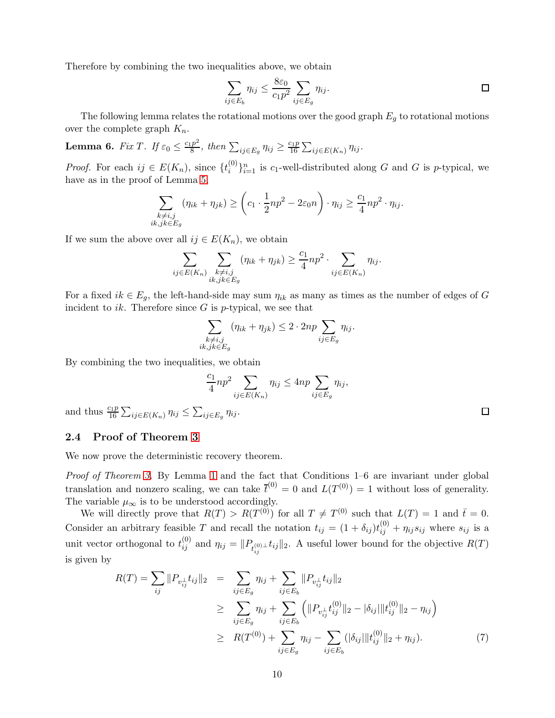Therefore by combining the two inequalities above, we obtain

$$
\sum_{ij \in E_b} \eta_{ij} \le \frac{8\varepsilon_0}{c_1 p^2} \sum_{ij \in E_g} \eta_{ij}.
$$

The following lemma relates the rotational motions over the good graph  $E_g$  to rotational motions over the complete graph  $K_n$ .

<span id="page-9-0"></span>**Lemma 6.** *Fix T*. *If*  $\varepsilon_0 \leq \frac{c_1 p^2}{8}$  $\frac{p^2}{8}$ , then  $\sum_{ij \in E_g} \eta_{ij} \geq \frac{c_1 p}{16}$  $\frac{\sum_{ij} p}{16} \sum_{ij \in E(K_n)} \eta_{ij}$ .

*Proof.* For each  $ij \in E(K_n)$ , since  $\{t_i^{(0)}\}$  $\{e^{(0)}\}_{i=1}^n$  is  $c_1$ -well-distributed along G and G is p-typical, we have as in the proof of Lemma [5,](#page-8-1)

$$
\sum_{\substack{k \neq i,j \\ ik,jk \in E_g}} (\eta_{ik} + \eta_{jk}) \geq \left(c_1 \cdot \frac{1}{2} np^2 - 2\varepsilon_0 n\right) \cdot \eta_{ij} \geq \frac{c_1}{4} np^2 \cdot \eta_{ij}.
$$

If we sum the above over all  $ij \in E(K_n)$ , we obtain

$$
\sum_{ij \in E(K_n)} \sum_{\substack{k \neq i,j \\ ik,jk \in E_g}} (\eta_{ik} + \eta_{jk}) \geq \frac{c_1}{4} np^2 \cdot \sum_{ij \in E(K_n)} \eta_{ij}.
$$

For a fixed  $ik \in E_g$ , the left-hand-side may sum  $\eta_{ik}$  as many as times as the number of edges of G incident to ik. Therefore since  $G$  is p-typical, we see that

$$
\sum_{\substack{k \neq i,j \\ ik,jk \in E_g}} (\eta_{ik} + \eta_{jk}) \le 2 \cdot 2np \sum_{ij \in E_g} \eta_{ij}.
$$

By combining the two inequalities, we obtain

$$
\frac{c_1}{4}np^2 \sum_{ij \in E(K_n)} \eta_{ij} \le 4np \sum_{ij \in E_g} \eta_{ij},
$$

and thus  $\frac{c_1 p}{16} \sum_{ij \in E(K_n)} \eta_{ij} \leq \sum_{ij \in E_g} \eta_{ij}$ .

## <span id="page-9-1"></span>2.4 Proof of Theorem [3](#page-5-1)

We now prove the deterministic recovery theorem.

*Proof of Theorem [3.](#page-5-1)* By Lemma [1](#page-6-2) and the fact that Conditions 1–6 are invariant under global translation and nonzero scaling, we can take  $\bar{t}^{(0)} = 0$  and  $L(T^{(0)}) = 1$  without loss of generality. The variable  $\mu_{\infty}$  is to be understood accordingly.

We will directly prove that  $R(T) > R(T^{(0)})$  for all  $T \neq T^{(0)}$  such that  $L(T) = 1$  and  $\bar{t} = 0$ . Consider an arbitrary feasible T and recall the notation  $t_{ij} = (1 + \delta_{ij})t_{ij}^{(0)} + \eta_{ij}s_{ij}$  where  $s_{ij}$  is a unit vector orthogonal to  $t_{ij}^{(0)}$  and  $\eta_{ij} = ||P_{t_{ij}^{(0)} \perp} t_{ij}||_2$ . A useful lower bound for the objective  $R(T)$ is given by

<span id="page-9-2"></span>
$$
R(T) = \sum_{ij} ||P_{v_{ij}^{\perp}} t_{ij}||_2 = \sum_{ij \in E_g} \eta_{ij} + \sum_{ij \in E_b} ||P_{v_{ij}^{\perp}} t_{ij}||_2
$$
  
\n
$$
\geq \sum_{ij \in E_g} \eta_{ij} + \sum_{ij \in E_b} \left( ||P_{v_{ij}^{\perp}} t_{ij}^{(0)}||_2 - |\delta_{ij}|| |t_{ij}^{(0)}||_2 - \eta_{ij} \right)
$$
  
\n
$$
\geq R(T^{(0)}) + \sum_{ij \in E_g} \eta_{ij} - \sum_{ij \in E_b} (|\delta_{ij}|| |t_{ij}^{(0)}||_2 + \eta_{ij}).
$$
 (7)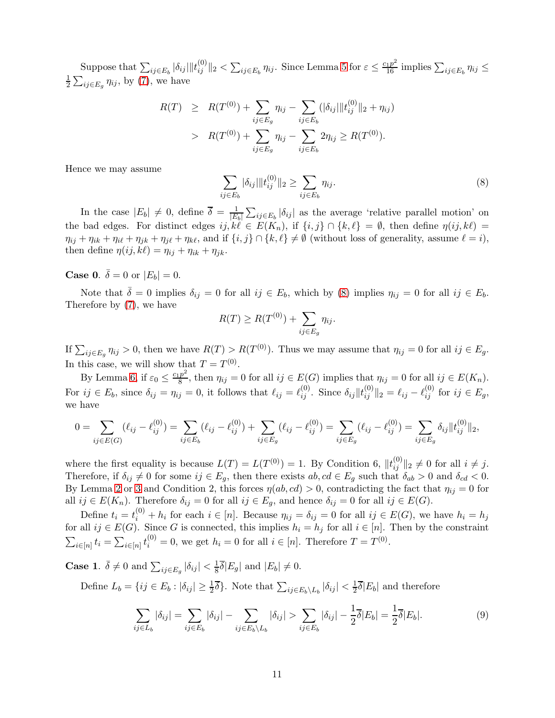Suppose that  $\sum_{ij\in E_b} |\delta_{ij}||t_{ij}^{(0)}||_2 < \sum_{ij\in E_b} \eta_{ij}$ . Since Lemma [5](#page-8-1) for  $\varepsilon \leq \frac{c_1p^2}{16}$  implies  $\sum_{ij\in E_b} \eta_{ij} \leq$ 1  $\frac{1}{2} \sum_{ij \in E_g} \eta_{ij}$ , by [\(7\)](#page-9-2), we have

$$
R(T) \geq R(T^{(0)}) + \sum_{ij \in E_g} \eta_{ij} - \sum_{ij \in E_b} (|\delta_{ij}| \|t_{ij}^{(0)}\|_2 + \eta_{ij})
$$
  
> 
$$
R(T^{(0)}) + \sum_{ij \in E_g} \eta_{ij} - \sum_{ij \in E_b} 2\eta_{ij} \geq R(T^{(0)}).
$$

Hence we may assume

<span id="page-10-0"></span>
$$
\sum_{ij \in E_b} |\delta_{ij}| \|t_{ij}^{(0)}\|_2 \ge \sum_{ij \in E_b} \eta_{ij}.
$$
\n(8)

In the case  $|E_b| \neq 0$ , define  $\overline{\delta} = \frac{1}{|E|}$  $\frac{1}{|E_b|}\sum_{ij\in E_b}|\delta_{ij}|$  as the average 'relative parallel motion' on the bad edges. For distinct edges  $ij, k\ell \in E(K_n)$ , if  $\{i, j\} \cap \{k, \ell\} = \emptyset$ , then define  $\eta(ij, k\ell) =$  $\eta_{ij} + \eta_{ik} + \eta_{i\ell} + \eta_{jk} + \eta_{j\ell} + \eta_{k\ell}$ , and if  $\{i, j\} \cap \{k, \ell\} \neq \emptyset$  (without loss of generality, assume  $\ell = i$ ), then define  $\eta(ij, k\ell) = \eta_{ij} + \eta_{ik} + \eta_{jk}$ .

# **Case 0.**  $\bar{\delta} = 0$  or  $|E_b| = 0$ .

Note that  $\overline{\delta} = 0$  implies  $\delta_{ij} = 0$  for all  $ij \in E_b$ , which by [\(8\)](#page-10-0) implies  $\eta_{ij} = 0$  for all  $ij \in E_b$ . Therefore by [\(7\)](#page-9-2), we have

$$
R(T) \ge R(T^{(0)}) + \sum_{ij \in E_g} \eta_{ij}.
$$

If  $\sum_{ij \in E_g} \eta_{ij} > 0$ , then we have  $R(T) > R(T^{(0)})$ . Thus we may assume that  $\eta_{ij} = 0$  for all  $ij \in E_g$ . In this case, we will show that  $T = T^{(0)}$ .

By Lemma [6,](#page-9-0) if  $\varepsilon_0 \leq \frac{c_1 p^2}{8}$  $\frac{p}{8}$ , then  $\eta_{ij} = 0$  for all  $ij \in E(G)$  implies that  $\eta_{ij} = 0$  for all  $ij \in E(K_n)$ . For  $ij \in E_b$ , since  $\delta_{ij} = \eta_{ij} = 0$ , it follows that  $\ell_{ij} = \ell_{ij}^{(0)}$ . Since  $\delta_{ij} ||l_{ij}^{(0)}||_2 = \ell_{ij} - \ell_{ij}^{(0)}$  for  $ij \in E_g$ , we have

$$
0 = \sum_{ij \in E(G)} (\ell_{ij} - \ell_{ij}^{(0)}) = \sum_{ij \in E_b} (\ell_{ij} - \ell_{ij}^{(0)}) + \sum_{ij \in E_g} (\ell_{ij} - \ell_{ij}^{(0)}) = \sum_{ij \in E_g} (\ell_{ij} - \ell_{ij}^{(0)}) = \sum_{ij \in E_g} \delta_{ij} ||t_{ij}^{(0)}||_2,
$$

where the first equality is because  $L(T) = L(T^{(0)}) = 1$ . By Condition 6,  $||t_{ij}^{(0)}||_2 \neq 0$  for all  $i \neq j$ . Therefore, if  $\delta_{ij} \neq 0$  for some  $ij \in E_g$ , then there exists  $ab, cd \in E_g$  such that  $\delta_{ab} > 0$  and  $\delta_{cd} < 0$ . By Lemma [2](#page-6-0) or [3](#page-7-0) and Condition 2, this forces  $\eta(ab, cd) > 0$ , contradicting the fact that  $\eta_{ij} = 0$  for all  $ij \in E(K_n)$ . Therefore  $\delta_{ij} = 0$  for all  $ij \in E_g$ , and hence  $\delta_{ij} = 0$  for all  $ij \in E(G)$ .

Define  $t_i = t_i^{(0)} + h_i$  for each  $i \in [n]$ . Because  $\eta_{ij} = \delta_{ij} = 0$  for all  $ij \in E(G)$ , we have  $h_i = h_j$ for all  $ij \in E(G)$ . Since G is connected, this implies  $h_i = h_j$  for all  $i \in [n]$ . Then by the constraint  $\sum_{i \in [n]} t_i = \sum_{i \in [n]} t_i^{(0)} = 0$ , we get  $h_i = 0$  for all  $i \in [n]$ . Therefore  $T = T^{(0)}$ .

**Case 1.**  $\bar{\delta} \neq 0$  and  $\sum_{ij \in E_g} |\delta_{ij}| < \frac{1}{8}\bar{\delta}|E_g|$  and  $|E_b| \neq 0$ .

Define  $L_b = \{ij \in E_b : |\delta_{ij}| \geq \frac{1}{2}\overline{\delta}\}\.$  Note that  $\sum_{ij \in E_b \setminus L_b} |\delta_{ij}| < \frac{1}{2}$  $\frac{1}{2}\delta|E_b|$  and therefore

<span id="page-10-1"></span>
$$
\sum_{ij\in L_b} |\delta_{ij}| = \sum_{ij\in E_b} |\delta_{ij}| - \sum_{ij\in E_b \setminus L_b} |\delta_{ij}| > \sum_{ij\in E_b} |\delta_{ij}| - \frac{1}{2}\overline{\delta}|E_b| = \frac{1}{2}\overline{\delta}|E_b|.
$$
 (9)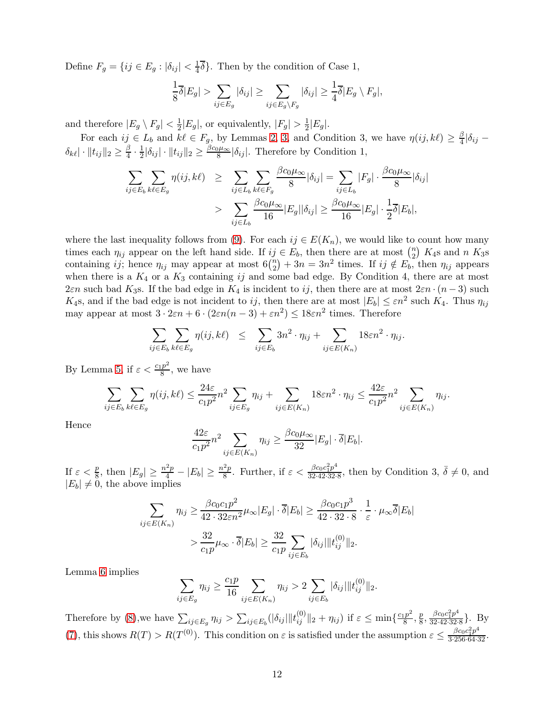Define  $F_g = \{ij \in E_g : |\delta_{ij}| < \frac{1}{4}\}$  $\frac{1}{4}\delta$ . Then by the condition of Case 1,

$$
\frac{1}{8}\overline{\delta}|E_g| > \sum_{ij \in E_g} |\delta_{ij}| \ge \sum_{ij \in E_g \backslash F_g} |\delta_{ij}| \ge \frac{1}{4}\overline{\delta}|E_g \setminus F_g|,
$$

and therefore  $|E_g \setminus F_g| < \frac{1}{2}|E_g|$ , or equivalently,  $|F_g| > \frac{1}{2}|E_g|$ .

For each  $ij \in L_b$  and  $k\ell \in F_g$ , by Lemmas [2,](#page-6-0) [3,](#page-7-0) and Condition 3, we have  $\eta(ij, k\ell) \geq \frac{\beta}{4}$  $\frac{\beta}{4}|\delta_{ij}$  –  $\delta_{k\ell} \vert \cdot \Vert t_{ij} \Vert_2 \geq \frac{\beta}{4}$  $\frac{\beta}{4} \cdot \frac{1}{2}$  $\frac{1}{2}|\delta_{ij}| \cdot ||t_{ij}||_2 \geq \frac{\beta c_0 \mu_{\infty}}{8}$  $\frac{\partial \mu_{\infty}}{\partial \delta}$  | $\delta_{ij}$ |. Therefore by Condition 1,

$$
\sum_{ij \in E_b} \sum_{k\ell \in E_g} \eta(ij, k\ell) \geq \sum_{ij \in L_b} \sum_{k\ell \in F_g} \frac{\beta c_0 \mu_\infty}{8} |\delta_{ij}| = \sum_{ij \in L_b} |F_g| \cdot \frac{\beta c_0 \mu_\infty}{8} |\delta_{ij}|
$$

$$
> \sum_{ij \in L_b} \frac{\beta c_0 \mu_\infty}{16} |E_g| |\delta_{ij}| \geq \frac{\beta c_0 \mu_\infty}{16} |E_g| \cdot \frac{1}{2} \overline{\delta} |E_b|,
$$

where the last inequality follows from [\(9\)](#page-10-1). For each  $ij \in E(K_n)$ , we would like to count how many times each  $\eta_{ij}$  appear on the left hand side. If  $ij \in E_b$ , then there are at most  $\binom{n}{2}$  $n \choose 2$  K<sub>4</sub>s and *n* K<sub>3</sub>s containing ij; hence  $\eta_{ij}$  may appear at most  $6\binom{n}{2}$  $\binom{n}{2} + 3n = 3n^2$  times. If  $ij \notin E_b$ , then  $\eta_{ij}$  appears when there is a  $K_4$  or a  $K_3$  containing ij and some bad edge. By Condition 4, there are at most 2εn such bad K<sub>3</sub>s. If the bad edge in K<sub>4</sub> is incident to ij, then there are at most  $2\varepsilon n \cdot (n-3)$  such  $K_4$ s, and if the bad edge is not incident to ij, then there are at most  $|E_b| \leq \varepsilon n^2$  such  $K_4$ . Thus  $\eta_{ij}$ may appear at most  $3 \cdot 2\varepsilon n + 6 \cdot (2\varepsilon n(n-3) + \varepsilon n^2) \leq 18\varepsilon n^2$  times. Therefore

$$
\sum_{ij \in E_b} \sum_{k\ell \in E_g} \eta(ij, k\ell) \leq \sum_{ij \in E_b} 3n^2 \cdot \eta_{ij} + \sum_{ij \in E(K_n)} 18\epsilon n^2 \cdot \eta_{ij}.
$$

By Lemma [5,](#page-8-1) if  $\varepsilon < \frac{c_1 p^2}{8}$  $\frac{p}{8}$ , we have

$$
\sum_{ij \in E_b} \sum_{k\ell \in E_g} \eta(ij, k\ell) \le \frac{24\varepsilon}{c_1 p^2} n^2 \sum_{ij \in E_g} \eta_{ij} + \sum_{ij \in E(K_n)} 18\varepsilon n^2 \cdot \eta_{ij} \le \frac{42\varepsilon}{c_1 p^2} n^2 \sum_{ij \in E(K_n)} \eta_{ij}.
$$

Hence

$$
\frac{42\varepsilon}{c_1p^2}n^2\sum_{ij\in E(K_n)}\eta_{ij}\geq \frac{\beta c_0\mu_{\infty}}{32}|E_g|\cdot\overline{\delta}|E_b|.
$$

If  $\varepsilon < \frac{p}{8}$ , then  $|E_g| \ge \frac{n^2p}{4} - |E_b| \ge \frac{n^2p}{8}$  $\frac{p^2p}{8}$ . Further, if  $\varepsilon < \frac{\beta c_0 c_1^2 p^4}{32 \cdot 42 \cdot 32}$ .  $\frac{\beta c_0 c_1^2 p^4}{32 \cdot 42 \cdot 32 \cdot 8}$ , then by Condition 3,  $\overline{\delta} \neq 0$ , and  $|E_b| \neq 0$ , the above implies

$$
\sum_{ij \in E(K_n)} \eta_{ij} \ge \frac{\beta c_0 c_1 p^2}{42 \cdot 32 \varepsilon n^2} \mu_\infty |E_g| \cdot \overline{\delta}|E_b| \ge \frac{\beta c_0 c_1 p^3}{42 \cdot 32 \cdot 8} \cdot \frac{1}{\varepsilon} \cdot \mu_\infty \overline{\delta}|E_b|
$$

$$
> \frac{32}{c_1 p} \mu_\infty \cdot \overline{\delta}|E_b| \ge \frac{32}{c_1 p} \sum_{ij \in E_b} |\delta_{ij}| ||t_{ij}^{(0)}||_2.
$$

Lemma [6](#page-9-0) implies

$$
\sum_{ij \in E_g} \eta_{ij} \ge \frac{c_1 p}{16} \sum_{ij \in E(K_n)} \eta_{ij} > 2 \sum_{ij \in E_b} |\delta_{ij}| ||t_{ij}^{(0)}||_2.
$$

Therefore by [\(8\)](#page-10-0), we have  $\sum_{ij \in E_g} \eta_{ij} > \sum_{ij \in E_b} (|\delta_{ij}| ||t_{ij}^{(0)}||_2 + \eta_{ij})$  if  $\varepsilon \le \min\{\frac{c_1 p^2}{8}$  $\frac{p^2}{8}, \frac{p}{8}$  $\frac{p}{8}, \frac{\beta c_0 c_1^2 p^4}{32 \cdot 42 \cdot 32}$  $\frac{\rho c_0 c_1 p}{32.42.32.8}$ . By [\(7\)](#page-9-2), this shows  $R(T) > R(T^{(0)})$ . This condition on  $\varepsilon$  is satisfied under the assumption  $\varepsilon \leq \frac{\beta c_0 c_1^2 p^4}{3 \cdot 256 \cdot 64 \cdot 32}$ .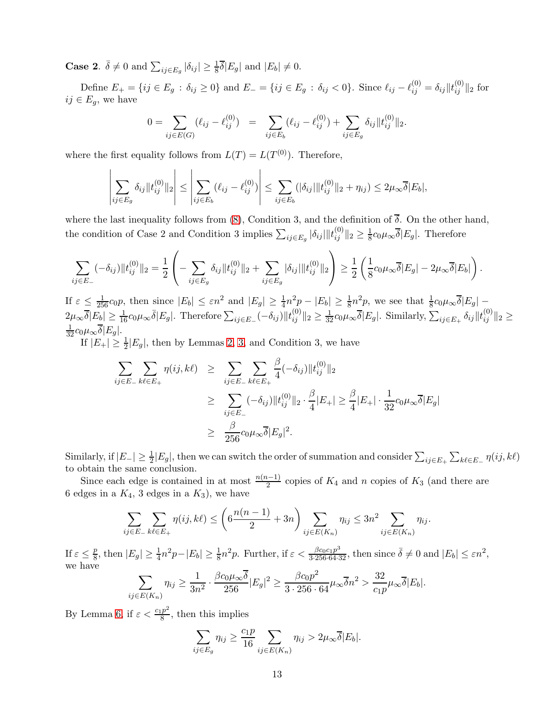**Case 2.**  $\bar{\delta} \neq 0$  and  $\sum_{ij \in E_g} |\delta_{ij}| \geq \frac{1}{8}\bar{\delta}|E_g|$  and  $|E_b| \neq 0$ .

Define  $E_+ = \{ij \in E_g : \delta_{ij} \ge 0\}$  and  $E_- = \{ij \in E_g : \delta_{ij} < 0\}$ . Since  $\ell_{ij} - \ell_{ij}^{(0)} = \delta_{ij} ||t_{ij}^{(0)}||_2$  for  $ij \in E_q$ , we have

$$
0 = \sum_{ij \in E(G)} (\ell_{ij} - \ell_{ij}^{(0)}) = \sum_{ij \in E_b} (\ell_{ij} - \ell_{ij}^{(0)}) + \sum_{ij \in E_g} \delta_{ij} ||t_{ij}^{(0)}||_2.
$$

where the first equality follows from  $L(T) = L(T^{(0)})$ . Therefore,

$$
\left|\sum_{ij\in E_g} \delta_{ij} \|t_{ij}^{(0)}\|_2\right| \le \left|\sum_{ij\in E_b} (\ell_{ij} - \ell_{ij}^{(0)})\right| \le \sum_{ij\in E_b} (|\delta_{ij}| \|t_{ij}^{(0)}\|_2 + \eta_{ij}) \le 2\mu_{\infty} \overline{\delta}|E_b|,
$$

where the last inequality follows from [\(8\)](#page-10-0), Condition 3, and the definition of  $\overline{\delta}$ . On the other hand, the condition of Case 2 and Condition 3 implies  $\sum_{ij \in E_g} |\delta_{ij}| ||t_{ij}^{(0)}||_2 \ge \frac{1}{8}$  $\frac{1}{8}c_0\mu_{\infty}\delta|E_g|$ . Therefore

$$
\sum_{ij \in E_-} (-\delta_{ij}) \|t_{ij}^{(0)}\|_2 = \frac{1}{2} \left( - \sum_{ij \in E_g} \delta_{ij} \|t_{ij}^{(0)}\|_2 + \sum_{ij \in E_g} |\delta_{ij}| \|t_{ij}^{(0)}\|_2 \right) \ge \frac{1}{2} \left( \frac{1}{8} c_0 \mu_\infty \overline{\delta} |E_g| - 2\mu_\infty \overline{\delta} |E_b| \right).
$$

If  $\varepsilon \leq \frac{1}{256} c_0 p$ , then since  $|E_b| \leq \varepsilon n^2$  and  $|E_g| \geq \frac{1}{4} n^2 p - |E_b| \geq \frac{1}{8} n^2 p$ , we see that  $\frac{1}{8} c_0 \mu_\infty \overline{\delta} |E_g|$  $2\mu_{\infty}\overline{\delta}|E_b| \geq \frac{1}{16}c_0\mu_{\infty}\overline{\delta}|E_g|$ . Therefore  $\sum_{ij\in E_{-}}(-\delta_{ij})||t_{ij}^{(0)}||_2 \geq \frac{1}{32}c_0\mu_{\infty}\overline{\delta}|E_g|$ . Similarly,  $\sum_{ij\in E_{+}}\delta_{ij}||t_{ij}^{(0)}||_2 \geq$  $\frac{1}{32}c_0\mu_\infty\overline{\delta}|E_g|.$ 

If  $|E_+| \geq \frac{1}{2}|E_g|$ , then by Lemmas [2,](#page-6-0) [3,](#page-7-0) and Condition 3, we have

$$
\sum_{ij \in E_{-}} \sum_{k\ell \in E_{+}} \eta(ij, k\ell) \geq \sum_{ij \in E_{-}} \sum_{k\ell \in E_{+}} \frac{\beta}{4} (-\delta_{ij}) \|t_{ij}^{(0)}\|_{2}
$$
\n
$$
\geq \sum_{ij \in E_{-}} (-\delta_{ij}) \|t_{ij}^{(0)}\|_{2} \cdot \frac{\beta}{4} |E_{+}| \geq \frac{\beta}{4} |E_{+}| \cdot \frac{1}{32} c_{0} \mu_{\infty} \overline{\delta} |E_{g}|
$$
\n
$$
\geq \frac{\beta}{256} c_{0} \mu_{\infty} \overline{\delta} |E_{g}|^{2}.
$$

Similarly, if  $|E_{-}| \geq \frac{1}{2}|E_{g}|$ , then we can switch the order of summation and consider  $\sum_{ij\in E_{+}}\sum_{k\ell\in E_{-}}\eta(ij,k\ell)$ to obtain the same conclusion.

Since each edge is contained in at most  $\frac{n(n-1)}{2}$  copies of  $K_4$  and n copies of  $K_3$  (and there are 6 edges in a  $K_4$ , 3 edges in a  $K_3$ ), we have

$$
\sum_{ij \in E_-} \sum_{k\ell \in E_+} \eta(ij, k\ell) \le \left(6\frac{n(n-1)}{2} + 3n\right) \sum_{ij \in E(K_n)} \eta_{ij} \le 3n^2 \sum_{ij \in E(K_n)} \eta_{ij}.
$$

If  $\varepsilon \leq \frac{p}{8}$  $\frac{p}{8}$ , then  $|E_g| \ge \frac{1}{4}n^2p - |E_b| \ge \frac{1}{8}n^2p$ . Further, if  $\varepsilon < \frac{\beta c_0 c_1 p^3}{3 \cdot 256 \cdot 64 \cdot 32}$ , then since  $\overline{\delta} \ne 0$  and  $|E_b| \le \varepsilon n^2$ , we have

$$
\sum_{ij\in E(K_n)}\eta_{ij}\geq \frac{1}{3n^2}\cdot\frac{\beta c_0\mu_\infty\overline{\delta}}{256}|E_g|^2\geq \frac{\beta c_0p^2}{3\cdot 256\cdot 64}\mu_\infty\overline{\delta}n^2>\frac{32}{c_1p}\mu_\infty\overline{\delta}|E_b|.
$$

By Lemma [6,](#page-9-0) if  $\varepsilon < \frac{c_1 p^2}{8}$  $\frac{p}{8}$ , then this implies

$$
\sum_{ij \in E_g} \eta_{ij} \ge \frac{c_1 p}{16} \sum_{ij \in E(K_n)} \eta_{ij} > 2\mu_\infty \overline{\delta}|E_b|.
$$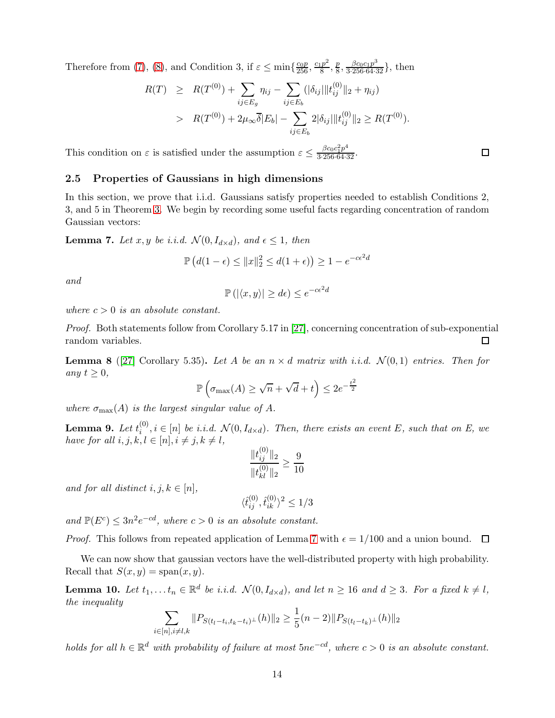Therefore from [\(7\)](#page-9-2), [\(8\)](#page-10-0), and Condition 3, if  $\varepsilon \le \min\{\frac{c_0 p}{256}, \frac{c_1 p^2}{8}\}$  $\frac{p^2}{8}, \frac{p}{8}$  $\frac{p}{8}, \frac{\beta c_0 c_1 p^3}{3 \cdot 256 \cdot 64 \cdot 32}$ , then

$$
R(T) \geq R(T^{(0)}) + \sum_{ij \in E_g} \eta_{ij} - \sum_{ij \in E_b} (|\delta_{ij}| \|t_{ij}^{(0)}\|_2 + \eta_{ij})
$$
  
> 
$$
R(T^{(0)}) + 2\mu_{\infty} \overline{\delta}|E_b| - \sum_{ij \in E_b} 2|\delta_{ij}| \|t_{ij}^{(0)}\|_2 \geq R(T^{(0)}).
$$

This condition on  $\varepsilon$  is satisfied under the assumption  $\varepsilon \leq \frac{\beta c_0 c_1^2 p^4}{3 \cdot 256 \cdot 64 \cdot 32}$ .

## <span id="page-13-0"></span>2.5 Properties of Gaussians in high dimensions

In this section, we prove that i.i.d. Gaussians satisfy properties needed to establish Conditions 2, 3, and 5 in Theorem [3.](#page-5-1) We begin by recording some useful facts regarding concentration of random Gaussian vectors:

<span id="page-13-1"></span>**Lemma 7.** Let x, y be i.i.d.  $\mathcal{N}(0, I_{d \times d})$ , and  $\epsilon \leq 1$ , then

$$
\mathbb{P}\left(d(1-\epsilon) \le ||x||_2^2 \le d(1+\epsilon)\right) \ge 1 - e^{-c\epsilon^2 d}
$$

*and*

$$
\mathbb{P}\left(\left|\langle x,y\rangle\right|\geq d\epsilon\right)\leq e^{-c\epsilon^2d}
$$

*where*  $c > 0$  *is an absolute constant.* 

*Proof.* Both statements follow from Corollary 5.17 in [\[27\]](#page-33-6), concerning concentration of sub-exponential random variables.  $\Box$ 

<span id="page-13-2"></span>**Lemma 8** ([\[27\]](#page-33-6) Corollary 5.35). Let A be an  $n \times d$  matrix with i.i.d.  $\mathcal{N}(0,1)$  entries. Then for *any*  $t \geq 0$ *,* 

$$
\mathbb{P}\left(\sigma_{\max}(A) \ge \sqrt{n} + \sqrt{d} + t\right) \le 2e^{-\frac{t^2}{2}}
$$

*where*  $\sigma_{\text{max}}(A)$  *is the largest singular value of* A.

<span id="page-13-4"></span> $\bf{Lemma \ 9.} \ \mathit{Let} \ t_i^{(0)}$  $i^{(0)}$ ,  $i \in [n]$  *be i.i.d.*  $\mathcal{N}(0, I_{d \times d})$ *. Then, there exists an event* E, such that on E, we *have for all*  $i, j, k, l \in [n], i \neq j, k \neq l$ ,

$$
\frac{\|t_{ij}^{(0)}\|_2}{\|t_{kl}^{(0)}\|_2} \ge \frac{9}{10}
$$

*and for all distinct*  $i, j, k \in [n]$ ,

$$
\langle \widehat{t}_{ij}^{(0)}, \widehat{t}_{ik}^{(0)} \rangle^2 \leq 1/3
$$

and  $\mathbb{P}(E^c) \leq 3n^2e^{-cd}$ , where  $c > 0$  *is an absolute constant.* 

*Proof.* This follows from repeated application of Lemma [7](#page-13-1) with  $\epsilon = 1/100$  and a union bound.  $\Box$ 

We can now show that gaussian vectors have the well-distributed property with high probability. Recall that  $S(x, y) = \text{span}(x, y)$ .

<span id="page-13-3"></span>**Lemma 10.** Let  $t_1, \ldots, t_n \in \mathbb{R}^d$  be i.i.d.  $\mathcal{N}(0, I_{d \times d})$ , and let  $n \geq 16$  and  $d \geq 3$ . For a fixed  $k \neq l$ , *the inequality*

$$
\sum_{i \in [n], i \neq l,k} \|P_{S(t_l - t_i, t_k - t_i)^\perp}(h)\|_2 \ge \frac{1}{5}(n-2) \|P_{S(t_l - t_k)^\perp}(h)\|_2
$$

*holds for all*  $h \in \mathbb{R}^d$  *with probability of failure at most*  $5ne^{-cd}$ *, where*  $c > 0$  *is an absolute constant.* 

 $\Box$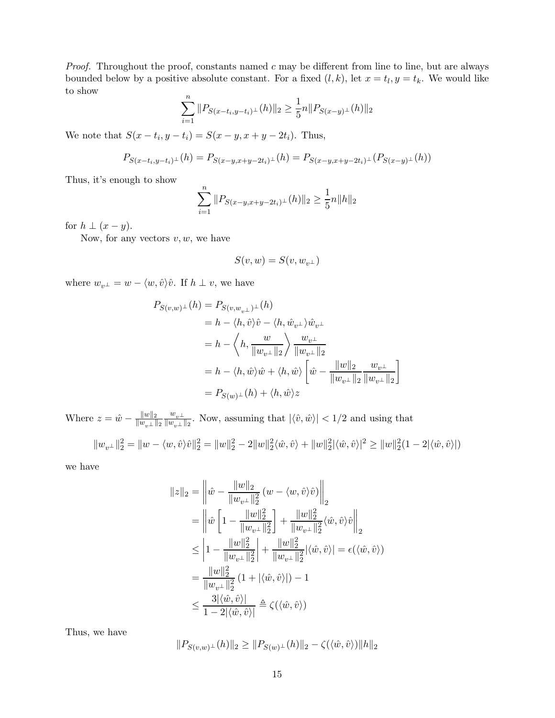*Proof.* Throughout the proof, constants named  $c$  may be different from line to line, but are always bounded below by a positive absolute constant. For a fixed  $(l, k)$ , let  $x = t_l, y = t_k$ . We would like to show

$$
\sum_{i=1}^{n} \|P_{S(x-t_i,y-t_i)^{\perp}}(h)\|_2 \ge \frac{1}{5}n \|P_{S(x-y)^{\perp}}(h)\|_2
$$

We note that  $S(x - t_i, y - t_i) = S(x - y, x + y - 2t_i)$ . Thus,

$$
P_{S(x-t_i,y-t_i)^{\perp}}(h) = P_{S(x-y,x+y-2t_i)^{\perp}}(h) = P_{S(x-y,x+y-2t_i)^{\perp}}(P_{S(x-y)^{\perp}}(h))
$$

Thus, it's enough to show

$$
\sum_{i=1}^{n} \|P_{S(x-y,x+y-2t_i)^{\perp}}(h)\|_{2} \ge \frac{1}{5}n\|h\|_{2}
$$

for  $h \perp (x - y)$ .

Now, for any vectors  $v, w$ , we have

$$
S(v,w)=S(v,w_{v^\perp})
$$

where  $w_{v^{\perp}} = w - \langle w, \hat{v} \rangle \hat{v}$ . If  $h \perp v$ , we have

$$
P_{S(v,w)^{\perp}}(h) = P_{S(v,w_{v^{\perp}})^{\perp}}(h)
$$
  
=  $h - \langle h, \hat{v} \rangle \hat{v} - \langle h, \hat{w}_{v^{\perp}} \rangle \hat{w}_{v^{\perp}}$   
=  $h - \langle h, \frac{w}{\|w_{v^{\perp}}\|_2} \rangle \frac{w_{v^{\perp}}}{\|w_{v^{\perp}}\|_2}$   
=  $h - \langle h, \hat{w} \rangle \hat{w} + \langle h, \hat{w} \rangle \left[\hat{w} - \frac{\|w\|_2}{\|w_{v^{\perp}}\|_2} \frac{w_{v^{\perp}}}{\|w_{v^{\perp}}\|_2}\right]$   
=  $P_{S(w)^{\perp}}(h) + \langle h, \hat{w} \rangle z$ 

Where  $z = \hat{w} - \frac{||w||_2}{||w_{n\perp}||}$  $\|w_{v^\perp}\|_2$  $w_{v^{\perp}}$  $\frac{w_v\perp}{\|w_v\perp\|_2}$ . Now, assuming that  $|\langle \hat{v}, \hat{w} \rangle| < 1/2$  and using that

$$
||w_{v^{\perp}}||_2^2 = ||w - \langle w, \hat{v} \rangle \hat{v}||_2^2 = ||w||_2^2 - 2||w||_2^2 \langle \hat{w}, \hat{v} \rangle + ||w||_2^2 |\langle \hat{w}, \hat{v} \rangle|^2 \ge ||w||_2^2 (1 - 2|\langle \hat{w}, \hat{v} \rangle|)
$$

we have

$$
||z||_2 = \left\|\hat{w} - \frac{\|w\|_2}{\|w_{v^{\perp}}\|_2^2} (w - \langle w, \hat{v} \rangle \hat{v})\right\|_2
$$
  
\n
$$
= \left\|\hat{w}\left[1 - \frac{\|w\|_2^2}{\|w_{v^{\perp}}\|_2^2}\right] + \frac{\|w\|_2^2}{\|w_{v^{\perp}}\|_2^2} \langle \hat{w}, \hat{v} \rangle \hat{v}\right\|_2
$$
  
\n
$$
\leq \left|1 - \frac{\|w\|_2^2}{\|w_{v^{\perp}}\|_2^2}\right| + \frac{\|w\|_2^2}{\|w_{v^{\perp}}\|_2^2} \langle \hat{w}, \hat{v} \rangle = \epsilon(\langle \hat{w}, \hat{v} \rangle)
$$
  
\n
$$
= \frac{\|w\|_2^2}{\|w_{v^{\perp}}\|_2^2} (1 + |\langle \hat{w}, \hat{v} \rangle|) - 1
$$
  
\n
$$
\leq \frac{3|\langle \hat{w}, \hat{v} \rangle|}{1 - 2|\langle \hat{w}, \hat{v} \rangle|} \triangleq \zeta(\langle \hat{w}, \hat{v} \rangle)
$$

Thus, we have

$$
||P_{S(v,w)^{\perp}}(h)||_2 \geq ||P_{S(w)^{\perp}}(h)||_2 - \zeta(\langle \hat{w}, \hat{v} \rangle) ||h||_2
$$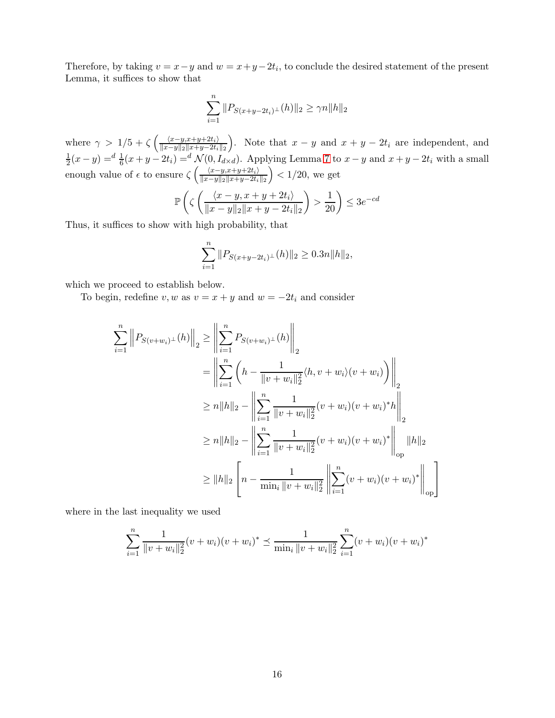Therefore, by taking  $v = x - y$  and  $w = x + y - 2t_i$ , to conclude the desired statement of the present Lemma, it suffices to show that

$$
\sum_{i=1}^{n} \|P_{S(x+y-2t_i)^{\perp}}(h)\|_{2} \geq \gamma n \|h\|_{2}
$$

where  $\gamma > 1/5 + \zeta \left( \frac{\langle x-y, x+y+2t_i \rangle}{\|x-y\|_{\infty}\|x+y-2t_i} \right)$  $||x-y||_2||x+y-2t_i||_2$ ). Note that  $x - y$  and  $x + y - 2t_i$  are independent, and 1  $\frac{1}{2}(x-y) = \frac{d}{6}(x+y-2t_i) = \frac{d}{6}(0, I_{d \times d})$ . Applying Lemma [7](#page-13-1) to  $x-y$  and  $x+y-2t_i$  with a small enough value of  $\epsilon$  to ensure  $\zeta\left(\frac{\langle x-y,x+y+2t_i\rangle}{\|x-y\|_2\|x+y-2t_i}\right)$  $||x-y||_2||x+y-2t_i||_2$  $\big)$  < 1/20, we get

$$
\mathbb{P}\left(\zeta\left(\frac{\langle x-y, x+y+2t_i\rangle}{\|x-y\|_2\|x+y-2t_i\|_2}\right) > \frac{1}{20}\right) \le 3e^{-cd}
$$

Thus, it suffices to show with high probability, that

$$
\sum_{i=1}^{n} \|P_{S(x+y-2t_i)^{\perp}}(h)\|_2 \ge 0.3n \|h\|_2,
$$

which we proceed to establish below.

To begin, redefine v, w as  $v = x + y$  and  $w = -2t_i$  and consider

$$
\sum_{i=1}^{n} \left\| P_{S(v+w_i)^{\perp}}(h) \right\|_{2} \geq \left\| \sum_{i=1}^{n} P_{S(v+w_i)^{\perp}}(h) \right\|_{2}
$$
\n
$$
= \left\| \sum_{i=1}^{n} \left( h - \frac{1}{\|v+w_i\|_{2}^{2}} \langle h, v+w_i \rangle (v+w_i) \right) \right\|_{2}
$$
\n
$$
\geq n \|h\|_{2} - \left\| \sum_{i=1}^{n} \frac{1}{\|v+w_i\|_{2}^{2}} (v+w_i)(v+w_i)^{*} h \right\|_{2}
$$
\n
$$
\geq n \|h\|_{2} - \left\| \sum_{i=1}^{n} \frac{1}{\|v+w_i\|_{2}^{2}} (v+w_i)(v+w_i)^{*} \right\|_{\text{op}} \|h\|_{2}
$$
\n
$$
\geq \|h\|_{2} \left[ n - \frac{1}{\min_{i} \|v+w_i\|_{2}^{2}} \left\| \sum_{i=1}^{n} (v+w_i)(v+w_i)^{*} \right\|_{\text{op}} \right]
$$

where in the last inequality we used

$$
\sum_{i=1}^{n} \frac{1}{\|v+w_i\|_2^2} (v+w_i)(v+w_i)^* \preceq \frac{1}{\min_i \|v+w_i\|_2^2} \sum_{i=1}^{n} (v+w_i)(v+w_i)^*
$$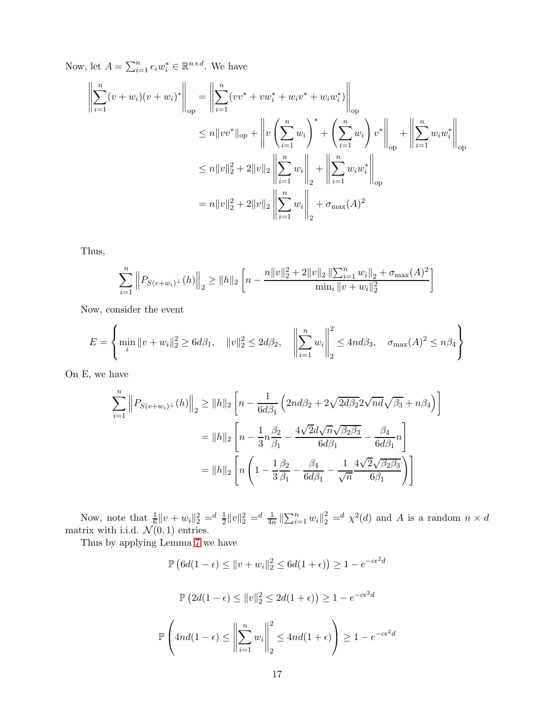Now, let  $A = \sum_{i=1}^n e_i w_i^* \in \mathbb{R}^{n \times d}$ . We have

$$
\left\| \sum_{i=1}^{n} (v + w_i)(v + w_i)^* \right\|_{op} = \left\| \sum_{i=1}^{n} (vv^* + vw_i^* + w_i v^* + w_i w_i^*) \right\|_{op}
$$
  
\n
$$
\leq n \|vv^*\|_{op} + \left\| v \left( \sum_{i=1}^{n} w_i \right)^* + \left( \sum_{i=1}^{n} w_i \right) v^* \right\|_{op} + \left\| \sum_{i=1}^{n} w_i w_i^* \right\|_{op}
$$
  
\n
$$
\leq n \|v\|_2^2 + 2 \|v\|_2 \left\| \sum_{i=1}^{n} w_i \right\|_2 + \left\| \sum_{i=1}^{n} w_i w_i^* \right\|_{op}
$$
  
\n
$$
= n \|v\|_2^2 + 2 \|v\|_2 \left\| \sum_{i=1}^{n} w_i \right\|_2 + \sigma_{\max}(A)^2
$$

Thus,

$$
\sum_{i=1}^{n} \left\| P_{S(v+w_i)^{\perp}}(h) \right\|_{2} \geq \|h\|_{2} \left[ n - \frac{n\|v\|_{2}^{2} + 2\|v\|_{2} \left\| \sum_{i=1}^{n} w_{i} \right\|_{2} + \sigma_{\max}(A)^{2}}{\min_{i} \|v+w_{i}\|_{2}^{2}} \right]
$$

Now, consider the event

$$
E = \left\{ \min_{i} \|v + w_i\|_2^2 \ge 6d\beta_1, \quad \|v\|_2^2 \le 2d\beta_2, \quad \left\|\sum_{i=1}^n w_i\right\|_2^2 \le 4nd\beta_3, \quad \sigma_{\max}(A)^2 \le n\beta_4 \right\}
$$

On E, we have

$$
\sum_{i=1}^{n} \left\| P_{S(v+w_i)^{\perp}}(h) \right\|_{2} \geq \|h\|_{2} \left[ n - \frac{1}{6d\beta_{1}} \left( 2nd\beta_{2} + 2\sqrt{2d\beta_{2}} 2\sqrt{nd}\sqrt{\beta_{3}} + n\beta_{4} \right) \right]
$$
  

$$
= \|h\|_{2} \left[ n - \frac{1}{3}n\frac{\beta_{2}}{\beta_{1}} - \frac{4\sqrt{2}d\sqrt{n}\sqrt{\beta_{2}\beta_{3}}}{6d\beta_{1}} - \frac{\beta_{4}}{6d\beta_{1}}n \right]
$$
  

$$
= \|h\|_{2} \left[ n \left( 1 - \frac{1}{3}\frac{\beta_{2}}{\beta_{1}} - \frac{\beta_{4}}{6d\beta_{1}} - \frac{1}{\sqrt{n}} \frac{4\sqrt{2}\sqrt{\beta_{2}\beta_{3}}}{6\beta_{1}} \right) \right]
$$

Now, note that  $\frac{1}{6}||v+w_i||_2^2 = \frac{d}{2}||v||_2^2 = \frac{d}{4n}||\sum_{i=1}^n w_i||_2^2 = \frac{d}{2} \chi^2(d)$  and A is a random  $n \times d$ matrix with i.i.d.  $\mathcal{N}(0, 1)$  entries.

Thus by applying Lemma [7](#page-13-1) we have

P

$$
\mathbb{P}\left(6d(1-\epsilon) \le ||v+w_i||_2^2 \le 6d(1+\epsilon)\right) \ge 1 - e^{-c\epsilon^2 d}
$$

$$
\mathbb{P}\left(2d(1-\epsilon) \le ||v||_2^2 \le 2d(1+\epsilon)\right) \ge 1 - e^{-c\epsilon^2 d}
$$

$$
\left(4nd(1-\epsilon) \le \left\|\sum_{i=1}^n w_i\right\|_2^2 \le 4nd(1+\epsilon)\right) \ge 1 - e^{-c\epsilon^2 d}
$$

2

 $i=1$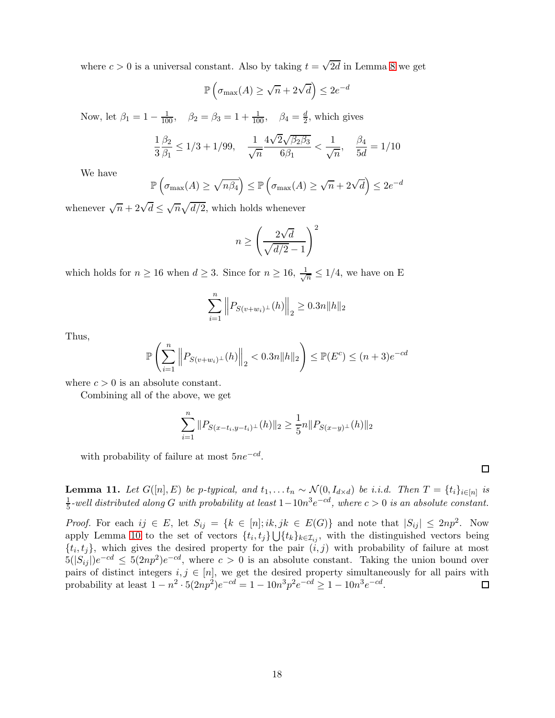where  $c > 0$  is a universal constant. Also by taking  $t = \sqrt{2d}$  in Lemma [8](#page-13-2) we get

$$
\mathbb{P}\left(\sigma_{\max}(A) \ge \sqrt{n} + 2\sqrt{d}\right) \le 2e^{-d}
$$

Now, let  $\beta_1 = 1 - \frac{1}{100}$ ,  $\beta_2 = \beta_3 = 1 + \frac{1}{100}$ ,  $\beta_4 = \frac{d}{2}$  $\frac{d}{2}$ , which gives

$$
\frac{1}{3}\frac{\beta_2}{\beta_1}\leq 1/3+1/99,\quad \frac{1}{\sqrt{n}}\frac{4\sqrt{2}\sqrt{\beta_2\beta_3}}{6\beta_1}<\frac{1}{\sqrt{n}},\quad \frac{\beta_4}{5d}=1/10
$$

We have

$$
\mathbb{P}\left(\sigma_{\max}(A) \ge \sqrt{n\beta_4}\right) \le \mathbb{P}\left(\sigma_{\max}(A) \ge \sqrt{n} + 2\sqrt{d}\right) \le 2e^{-d}
$$

whenever  $\sqrt{n} + 2\sqrt{d} \leq \sqrt{n}\sqrt{d/2}$ , which holds whenever

$$
n \ge \left(\frac{2\sqrt{d}}{\sqrt{d/2}-1}\right)^2
$$

which holds for  $n \geq 16$  when  $d \geq 3$ . Since for  $n \geq 16$ ,  $\frac{1}{\sqrt{3}}$  $\frac{1}{n} \leq 1/4$ , we have on E

$$
\sum_{i=1}^{n} \|P_{S(v+w_i)^{\perp}}(h)\|_{2} \ge 0.3n \|h\|_{2}
$$

Thus,

$$
\mathbb{P}\left(\sum_{i=1}^{n} \left\|P_{S(v+w_i)^{\perp}}(h)\right\|_{2} < 0.3n \|h\|_{2}\right) \le \mathbb{P}(E^{c}) \le (n+3)e^{-cd}
$$

where  $c > 0$  is an absolute constant.

Combining all of the above, we get

$$
\sum_{i=1}^{n} ||P_{S(x-t_i,y-t_i)^{\perp}}(h)||_2 \ge \frac{1}{5}n||P_{S(x-y)^{\perp}}(h)||_2
$$

with probability of failure at most  $5ne^{-cd}$ .

<span id="page-17-0"></span>**Lemma 11.** *Let*  $G([n], E)$  *be p-typical, and*  $t_1, \ldots, t_n \sim \mathcal{N}(0, I_{d \times d})$  *be i.i.d. Then*  $T = \{t_i\}_{i \in [n]}$  *is* 1  $\frac{1}{5}$ -well distributed along G with probability at least  $1-10n^3e^{-cd}$ , where  $c > 0$  is an absolute constant.

*Proof.* For each  $ij \in E$ , let  $S_{ij} = \{k \in [n]; ik, jk \in E(G)\}\$  and note that  $|S_{ij}| \leq 2np^2$ . Now apply Lemma [10](#page-13-3) to the set of vectors  $\{t_i, t_j\} \bigcup \{t_k\}_{k \in \mathcal{I}_{ij}}$ , with the distinguished vectors being  $\{t_i, t_j\}$ , which gives the desired property for the pair  $(i, j)$  with probability of failure at most  $5(|S_{ij}|)e^{-cd} \leq 5(2np^2)e^{-cd}$ , where  $c > 0$  is an absolute constant. Taking the union bound over pairs of distinct integers  $i, j \in [n]$ , we get the desired property simultaneously for all pairs with probability at least  $1 - n^2 \cdot 5(2np^2)e^{-cd} = 1 - 10n^3p^2e^{-cd} \ge 1 - 10n^3e^{-cd}$ .

 $\Box$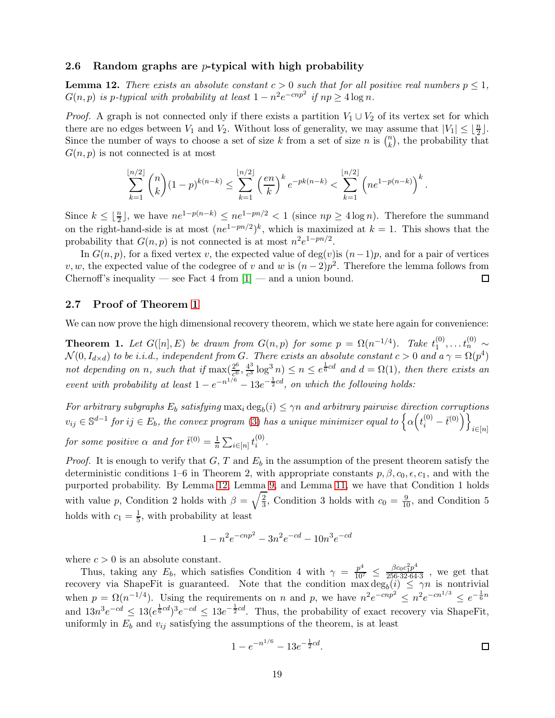### <span id="page-18-1"></span>2.6 Random graphs are *p*-typical with high probability

<span id="page-18-3"></span>**Lemma 12.** *There exists an absolute constant*  $c > 0$  *such that for all positive real numbers*  $p \leq 1$ *,*  $G(n, p)$  is p-typical with probability at least  $1 - n^2 e^{-cnp^2}$  if  $np \ge 4 \log n$ .

*Proof.* A graph is not connected only if there exists a partition  $V_1 \cup V_2$  of its vertex set for which there are no edges between  $V_1$  and  $V_2$ . Without loss of generality, we may assume that  $|V_1| \leq \lfloor \frac{n}{2} \rfloor$ . Since the number of ways to choose a set of size k from a set of size n is  $\binom{n}{k}$  $\binom{n}{k}$ , the probability that  $G(n, p)$  is not connected is at most

$$
\sum_{k=1}^{\lfloor n/2 \rfloor} \binom{n}{k} (1-p)^{k(n-k)} \le \sum_{k=1}^{\lfloor n/2 \rfloor} \left( \frac{en}{k} \right)^k e^{-pk(n-k)} < \sum_{k=1}^{\lfloor n/2 \rfloor} \left( n e^{1-p(n-k)} \right)^k.
$$

Since  $k \leq \lfloor \frac{n}{2} \rfloor$ , we have  $n e^{1-p(n-k)} \leq n e^{1-pn/2} < 1$  (since  $np \geq 4 \log n$ ). Therefore the summand on the right-hand-side is at most  $(ne^{1-pn/2})^k$ , which is maximized at  $k = 1$ . This shows that the probability that  $G(n, p)$  is not connected is at most  $n^2e^{1-pn/2}$ .

In  $G(n, p)$ , for a fixed vertex v, the expected value of deg(v) is  $(n-1)p$ , and for a pair of vertices v, w, the expected value of the codegree of v and w is  $(n-2)p^2$ . Therefore the lemma follows from Chernoff's inequality — see Fact 4 from  $[1]$  — and a union bound.  $\Box$ 

## <span id="page-18-2"></span>2.7 Proof of Theorem [1](#page-18-0)

We can now prove the high dimensional recovery theorem, which we state here again for convenience:

<span id="page-18-0"></span>**Theorem 1.** Let  $G([n], E)$  be drawn from  $G(n, p)$  for some  $p = \Omega(n^{-1/4})$ . Take  $t_1^{(0)}$  $t_1^{(0)}, \ldots t_n^{(0)} \sim$  $\mathcal{N}(0, I_{d \times d})$  *to be i.i.d., independent from G. There exists an absolute constant*  $c > 0$  *and*  $a \gamma = \Omega(p^4)$ not depending on *n*, such that if  $\max(\frac{2^6}{6})$  $\frac{2^6}{c^6}, \frac{4^3}{c^3}$  $\frac{4^3}{c^3} \log^3 n) \leq n \leq e^{\frac{1}{6}cd}$  and  $d = \Omega(1)$ , then there exists an *event with probability at least*  $1 - e^{-n^{1/6}} - 13e^{-\frac{1}{2}cd}$ , *on which the following holds:* 

For arbitrary subgraphs  $E_b$  satisfying  $\max_i \deg_b(i) \leq \gamma n$  and arbitrary pairwise direction corruptions  $v_{ij} \in \mathbb{S}^{d-1}$  for  $ij \in E_b$ , the convex program [\(3\)](#page-2-0) has a unique minimizer equal to  $\left\{ \alpha \left(t_i^{(0)} - \bar{t}^{(0)} \right) \right\}_{i \in [n]}$ *for some positive*  $\alpha$  *and for*  $\bar{t}^{(0)} = \frac{1}{n}$  $\frac{1}{n}\sum_{i\in[n]}t_i^{(0)}$ i *.*

*Proof.* It is enough to verify that  $G, T$  and  $E<sub>b</sub>$  in the assumption of the present theorem satisfy the deterministic conditions 1–6 in Theorem 2, with appropriate constants  $p, \beta, c_0, \epsilon, c_1$ , and with the purported probability. By Lemma [12,](#page-18-3) Lemma [9,](#page-13-4) and Lemma [11,](#page-17-0) we have that Condition 1 holds with value p, Condition 2 holds with  $\beta = \sqrt{\frac{2}{3}}$  $\frac{2}{3}$ , Condition 3 holds with  $c_0 = \frac{9}{10}$ , and Condition 5 holds with  $c_1 = \frac{1}{5}$  $\frac{1}{5}$ , with probability at least

$$
1 - n^2 e^{-cnp^2} - 3n^2 e^{-cd} - 10n^3 e^{-cd}
$$

where  $c > 0$  is an absolute constant.

Thus, taking any  $E_b$ , which satisfies Condition 4 with  $\gamma = \frac{p^4}{10^7} \leq \frac{\beta c_0 c_1^2 p^4}{256.32.64}$  $\frac{\rho c_0 c_1 p}{256.32.64.3}$ , we get that recovery via ShapeFit is guaranteed. Note that the condition  $\max deg_b(i) \leq \gamma n$  is nontrivial when  $p = \Omega(n^{-1/4})$ . Using the requirements on n and p, we have  $n^2 e^{-cnp^2} \leq n^2 e^{-cn^{1/3}} \leq e^{-\frac{1}{6}n}$ and  $13n^3e^{-cd} \leq 13(e^{\frac{1}{6}cd})^3e^{-cd} \leq 13e^{-\frac{1}{2}cd}$ . Thus, the probability of exact recovery via ShapeFit, uniformly in  $E_b$  and  $v_{ij}$  satisfying the assumptions of the theorem, is at least

$$
1 - e^{-n^{1/6}} - 13e^{-\frac{1}{2}cd}.
$$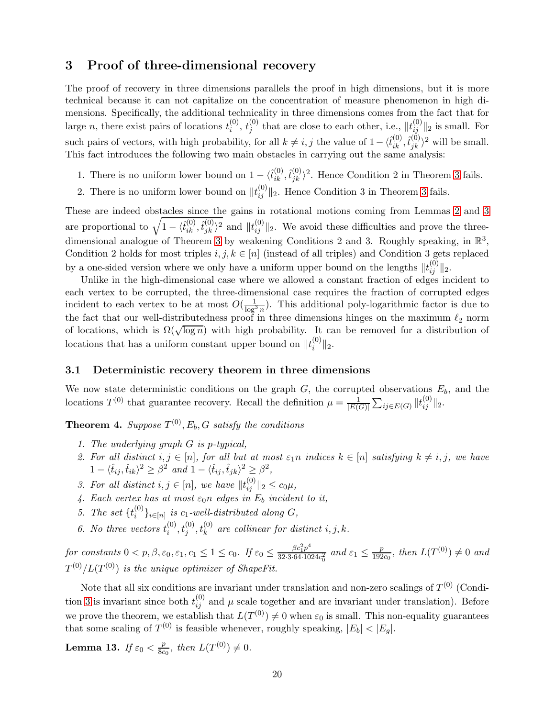## <span id="page-19-0"></span>3 Proof of three-dimensional recovery

The proof of recovery in three dimensions parallels the proof in high dimensions, but it is more technical because it can not capitalize on the concentration of measure phenomenon in high dimensions. Specifically, the additional technicality in three dimensions comes from the fact that for large *n*, there exist pairs of locations  $t_i^{(0)}$  $\stackrel{(0)}{i},\stackrel{(0)}{j}$  $j^{(0)}$  that are close to each other, i.e.,  $||t_{ij}^{(0)}||_2$  is small. For such pairs of vectors, with high probability, for all  $k \neq i, j$  the value of  $1 - \langle \hat{t}_{ik}^{(0)}, \hat{t}_{jk}^{(0)} \rangle^2$  will be small. This fact introduces the following two main obstacles in carrying out the same analysis:

- 1. There is no uniform lower bound on  $1 \langle \hat{t}_{ik}^{(0)}, \hat{t}_{jk}^{(0)} \rangle^2$ . Hence Condition 2 in Theorem [3](#page-5-1) fails.
- 2. There is no uniform lower bound on  $||t_{ij}^{(0)}||_2$ . Hence Condition [3](#page-5-1) in Theorem 3 fails.

These are indeed obstacles since the gains in rotational motions coming from Lemmas [2](#page-6-0) and [3](#page-7-0) are proportional to  $\sqrt{1-\langle \hat{t}_{ik}^{(0)}, \hat{t}_{jk}^{(0)} \rangle^2}$  and  $||t_{ij}^{(0)}||_2$ . We avoid these difficulties and prove the three-dimensional analogue of Theorem [3](#page-5-1) by weakening Conditions 2 and 3. Roughly speaking, in  $\mathbb{R}^3$ , Condition 2 holds for most triples  $i, j, k \in [n]$  (instead of all triples) and Condition 3 gets replaced by a one-sided version where we only have a uniform upper bound on the lengths  $||t_{ij}^{(0)}||_2$ .

Unlike in the high-dimensional case where we allowed a constant fraction of edges incident to each vertex to be corrupted, the three-dimensional case requires the fraction of corrupted edges incident to each vertex to be at most  $O(\frac{1}{\log^3 n})$ . This additional poly-logarithmic factor is due to the fact that our well-distributedness proof in three dimensions hinges on the maximum  $\ell_2$  norm of locations, which is  $\Omega(\sqrt{\log n})$  with high probability. It can be removed for a distribution of locations that has a uniform constant upper bound on  $||t_i^{(0)}||$  $||u^{(0)}||_2.$ 

### 3.1 Deterministic recovery theorem in three dimensions

We now state deterministic conditions on the graph  $G$ , the corrupted observations  $E_b$ , and the locations  $T^{(0)}$  that guarantee recovery. Recall the definition  $\mu = \frac{1}{|E(G)|}$  $\frac{1}{|E(G)|} \sum_{ij \in E(G)} ||t_{ij}^{(0)}||_2.$ 

<span id="page-19-5"></span><span id="page-19-1"></span>**Theorem 4.** *Suppose*  $T^{(0)}$ ,  $E_b$ ,  $G$  *satisfy the conditions* 

- <span id="page-19-6"></span>*1. The underlying graph* G *is* p*-typical,*
- *2. For all distinct*  $i, j \in [n]$ *, for all but at most*  $\varepsilon_1 n$  *indices*  $k \in [n]$  *satisfying*  $k \neq i, j$ *, we have*  $1 - \langle \hat{t}_{ij}, \hat{t}_{ik} \rangle^2 \geq \beta^2$  and  $1 - \langle \hat{t}_{ij}, \hat{t}_{jk} \rangle^2 \geq \beta^2$ ,
- <span id="page-19-4"></span><span id="page-19-2"></span>3. For all distinct  $i, j \in [n]$ , we have  $||t_{ij}^{(0)}||_2 \le c_0 \mu$ ,
- <span id="page-19-3"></span>4. Each vertex has at most  $\varepsilon_0 n$  edges in  $E_b$  incident to it,
- *5. The set*  $\{t_i^{(0)}\}$  $\{S_i^{(0)}\}_{i\in[n]}$  is  $c_1$ -well-distributed along  $G$ ,
- 6. No three vectors  $t_i^{(0)}$  $\hat{t}_{i}^{(0)}, t_{j}^{(0)}, t_{k}^{(0)}$  are collinear for distinct  $i, j, k$ .

*for constants*  $0 < p, \beta, \varepsilon_0, \varepsilon_1, c_1 \leq 1 \leq c_0$ . If  $\varepsilon_0 \leq \frac{\beta c_1^2 p^4}{32 \cdot 3 \cdot 64 \cdot 10}$  $\frac{\beta c_1^2 p^4}{32 \cdot 3 \cdot 64 \cdot 1024 c_0^2}$  and  $\varepsilon_1 \le \frac{p}{192}$  $\frac{p}{192c_0}$ , then  $L(T^{(0)}) \neq 0$  and  $T^{(0)}/L(T^{(0)})$  is the unique optimizer of ShapeFit.

Note that all six conditions are invariant under translation and non-zero scalings of  $T^{(0)}$  (Condi-tion [3](#page-19-4) is invariant since both  $t_{ij}^{(0)}$  and  $\mu$  scale together and are invariant under translation). Before we prove the theorem, we establish that  $L(T^{(0)}) \neq 0$  when  $\varepsilon_0$  is small. This non-equality guarantees that some scaling of  $T^{(0)}$  is feasible whenever, roughly speaking,  $|E_b| < |E_g|$ .

<span id="page-19-7"></span>Lemma 13. *If*  $\varepsilon_0 < \frac{p}{8c}$  $\frac{p}{8c_0}$ , then  $L(T^{(0)}) \neq 0$ .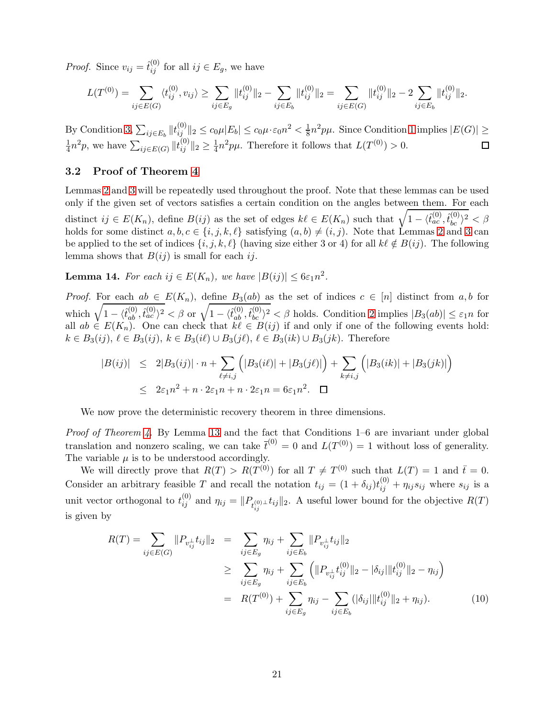*Proof.* Since  $v_{ij} = \hat{t}_{ij}^{(0)}$  for all  $ij \in E_g$ , we have

$$
L(T^{(0)}) = \sum_{ij \in E(G)} \langle t_{ij}^{(0)}, v_{ij} \rangle \ge \sum_{ij \in E_g} ||t_{ij}^{(0)}||_2 - \sum_{ij \in E_b} ||t_{ij}^{(0)}||_2 = \sum_{ij \in E(G)} ||t_{ij}^{(0)}||_2 - 2 \sum_{ij \in E_b} ||t_{ij}^{(0)}||_2.
$$

By Condition [3,](#page-19-4)  $\sum_{ij \in E_b} ||t_{ij}^{(0)}||_2 \le c_0 \mu |E_b| \le c_0 \mu \cdot \varepsilon_0 n^2 < \frac{1}{8} n^2 p \mu$ . Since Condition [1](#page-19-1) implies  $|E(G)| \ge$  $\frac{1}{4}n^2p$ , we have  $\sum_{ij\in E(G)}||t_{ij}^{(0)}||_2 \geq \frac{1}{4}n^2p\mu$ . Therefore it follows that  $L(T^{(0)}) > 0$ . 1  $\Box$ 

## 3.2 Proof of Theorem [4](#page-19-5)

Lemmas [2](#page-6-0) and [3](#page-7-0) will be repeatedly used throughout the proof. Note that these lemmas can be used only if the given set of vectors satisfies a certain condition on the angles between them. For each distinct  $ij \in E(K_n)$ , define  $B(ij)$  as the set of edges  $k\ell \in E(K_n)$  such that  $\sqrt{1 - \langle \hat{t}_{ac}^{(0)}, \hat{t}_{bc}^{(0)} \rangle^2} < \beta$ holds for some distinct  $a, b, c \in \{i, j, k, \ell\}$  satisfying  $(a, b) \neq (i, j)$ . Note that Lemmas [2](#page-6-0) and [3](#page-7-0) can be applied to the set of indices  $\{i, j, k, \ell\}$  (having size either 3 or 4) for all  $k\ell \notin B(ij)$ . The following lemma shows that  $B(ij)$  is small for each ij.

<span id="page-20-1"></span>**Lemma 14.** For each  $ij \in E(K_n)$ , we have  $|B(ij)| \leq 6\varepsilon_1 n^2$ .

*Proof.* For each  $ab \in E(K_n)$ , define  $B_3(ab)$  as the set of indices  $c \in [n]$  distinct from  $a, b$  for which  $\sqrt{1-\langle \hat{t}_{ab}^{(0)}, \hat{t}_{ac}^{(0)} \rangle^2} < \beta$  or  $\sqrt{1-\langle \hat{t}_{ab}^{(0)}, \hat{t}_{bc}^{(0)} \rangle^2} < \beta$  holds. Condition [2](#page-19-6) implies  $|B_3(ab)| \leq \varepsilon_1 n$  for all  $ab \in E(K_n)$ . One can check that  $k\ell \in B(ij)$  if and only if one of the following events hold:  $k \in B_3(ij), \ell \in B_3(ij), k \in B_3(i\ell) \cup B_3(j\ell), \ell \in B_3(ik) \cup B_3(jk).$  Therefore

$$
|B(ij)| \le 2|B_3(ij)| \cdot n + \sum_{\ell \ne i,j} (|B_3(i\ell)| + |B_3(j\ell)|) + \sum_{k \ne i,j} (|B_3(ik)| + |B_3(jk)|)
$$
  

$$
\le 2\varepsilon_1 n^2 + n \cdot 2\varepsilon_1 n + n \cdot 2\varepsilon_1 n = 6\varepsilon_1 n^2. \quad \Box
$$

We now prove the deterministic recovery theorem in three dimensions.

*Proof of Theorem [4.](#page-19-5)* By Lemma [13](#page-19-7) and the fact that Conditions 1–6 are invariant under global translation and nonzero scaling, we can take  $\bar{t}^{(0)} = 0$  and  $L(T^{(0)}) = 1$  without loss of generality. The variable  $\mu$  is to be understood accordingly.

We will directly prove that  $R(T) > R(T^{(0)})$  for all  $T \neq T^{(0)}$  such that  $L(T) = 1$  and  $\bar{t} = 0$ . Consider an arbitrary feasible T and recall the notation  $t_{ij} = (1 + \delta_{ij})t_{ij}^{(0)} + \eta_{ij}s_{ij}$  where  $s_{ij}$  is a unit vector orthogonal to  $t_{ij}^{(0)}$  and  $\eta_{ij} = ||P_{t_{ij}^{(0)} \perp} t_{ij}||_2$ . A useful lower bound for the objective  $R(T)$ is given by

<span id="page-20-0"></span>
$$
R(T) = \sum_{ij \in E(G)} ||P_{v_{ij}^{\perp}} t_{ij}||_2 = \sum_{ij \in E_g} \eta_{ij} + \sum_{ij \in E_b} ||P_{v_{ij}^{\perp}} t_{ij}||_2
$$
  
\n
$$
\geq \sum_{ij \in E_g} \eta_{ij} + \sum_{ij \in E_b} (||P_{v_{ij}^{\perp}} t_{ij}^{(0)}||_2 - |\delta_{ij}|||t_{ij}^{(0)}||_2 - \eta_{ij})
$$
  
\n
$$
= R(T^{(0)}) + \sum_{ij \in E_g} \eta_{ij} - \sum_{ij \in E_b} (|\delta_{ij}|||t_{ij}^{(0)}||_2 + \eta_{ij}).
$$
 (10)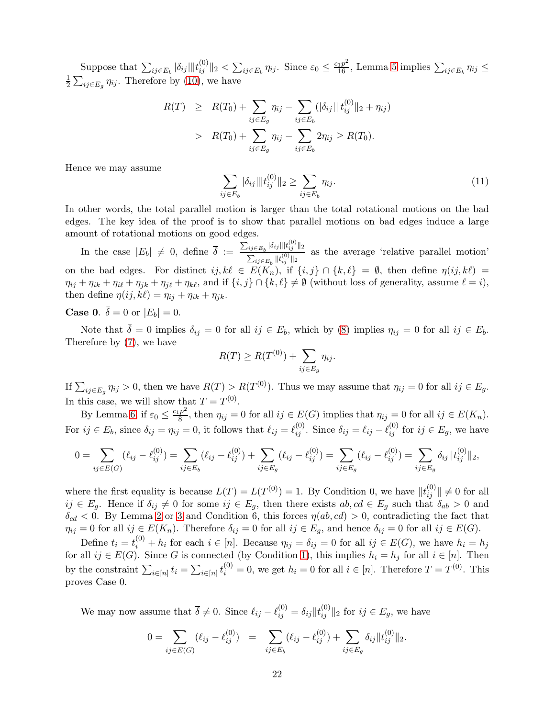Suppose that  $\sum_{ij\in E_b} |\delta_{ij}|||t_{ij}^{(0)}\|_2 < \sum_{ij\in E_b} \eta_{ij}$ . Since  $\varepsilon_0 \leq \frac{c_1p^2}{16}$ , Lemma [5](#page-8-1) implies  $\sum_{ij\in E_b} \eta_{ij} \leq$ 1  $\frac{1}{2} \sum_{ij \in E_g} \eta_{ij}$ . Therefore by [\(10\)](#page-20-0), we have

$$
R(T) \geq R(T_0) + \sum_{ij \in E_g} \eta_{ij} - \sum_{ij \in E_b} (|\delta_{ij}| ||t_{ij}^{(0)}||_2 + \eta_{ij})
$$
  
> 
$$
R(T_0) + \sum_{ij \in E_g} \eta_{ij} - \sum_{ij \in E_b} 2\eta_{ij} \geq R(T_0).
$$

Hence we may assume

<span id="page-21-0"></span>
$$
\sum_{ij \in E_b} |\delta_{ij}| \|t_{ij}^{(0)}\|_2 \ge \sum_{ij \in E_b} \eta_{ij}.\tag{11}
$$

In other words, the total parallel motion is larger than the total rotational motions on the bad edges. The key idea of the proof is to show that parallel motions on bad edges induce a large amount of rotational motions on good edges.

In the case  $|E_b| \neq 0$ , define  $\overline{\delta} := \frac{\sum_{ij \in E_b} |\delta_{ij}| ||t_{ij}^{(0)}||_2}{\sum_{i,j \in \mathcal{I}} ||t_{ij}^{(0)}||_2}$  $\sum_{ij\in E_{\pmb{b}}} \|t_{ij}^{(0)}\|_2$ as the average 'relative parallel motion' on the bad edges. For distinct  $ij, k\ell \in E(K_n)$ , if  $\{i, j\} \cap \{k, \ell\} = \emptyset$ , then define  $\eta(ij, k\ell) =$  $\eta_{ij} + \eta_{ik} + \eta_{i\ell} + \eta_{jk} + \eta_{j\ell} + \eta_{k\ell}$ , and if  $\{i, j\} \cap \{k, \ell\} \neq \emptyset$  (without loss of generality, assume  $\ell = i$ ), then define  $\eta(ij, k\ell) = \eta_{ij} + \eta_{ik} + \eta_{jk}$ .

# **Case 0.**  $\bar{\delta} = 0$  or  $|E_b| = 0$ .

Note that  $\bar{\delta} = 0$  implies  $\delta_{ij} = 0$  for all  $ij \in E_b$ , which by [\(8\)](#page-10-0) implies  $\eta_{ij} = 0$  for all  $ij \in E_b$ . Therefore by [\(7\)](#page-9-2), we have

$$
R(T) \ge R(T^{(0)}) + \sum_{ij \in E_g} \eta_{ij}.
$$

If  $\sum_{ij \in E_g} \eta_{ij} > 0$ , then we have  $R(T) > R(T^{(0)})$ . Thus we may assume that  $\eta_{ij} = 0$  for all  $ij \in E_g$ . In this case, we will show that  $T = T^{(0)}$ .

By Lemma [6,](#page-9-0) if  $\varepsilon_0 \leq \frac{c_1 p^2}{8}$  $\frac{p}{8}$ , then  $\eta_{ij} = 0$  for all  $ij \in E(G)$  implies that  $\eta_{ij} = 0$  for all  $ij \in E(K_n)$ . For  $ij \in E_b$ , since  $\delta_{ij} = \eta_{ij} = 0$ , it follows that  $\ell_{ij} = \ell_{ij}^{(0)}$ . Since  $\delta_{ij} = \ell_{ij} - \ell_{ij}^{(0)}$  for  $ij \in E_g$ , we have

$$
0 = \sum_{ij \in E(G)} (\ell_{ij} - \ell_{ij}^{(0)}) = \sum_{ij \in E_b} (\ell_{ij} - \ell_{ij}^{(0)}) + \sum_{ij \in E_g} (\ell_{ij} - \ell_{ij}^{(0)}) = \sum_{ij \in E_g} (\ell_{ij} - \ell_{ij}^{(0)}) = \sum_{ij \in E_g} \delta_{ij} ||t_{ij}^{(0)}||_2,
$$

where the first equality is because  $L(T) = L(T^{(0)}) = 1$ . By Condition 0, we have  $||t_{ij}^{(0)}|| \neq 0$  for all  $ij \in E_g$ . Hence if  $\delta_{ij} \neq 0$  for some  $ij \in E_g$ , then there exists  $ab, cd \in E_g$  such that  $\delta_{ab} > 0$  and  $\delta_{cd}$  < 0. By Lemma [2](#page-6-0) or [3](#page-7-0) and Condition 6, this forces  $\eta(ab, cd) > 0$ , contradicting the fact that  $\eta_{ij} = 0$  for all  $ij \in E(K_n)$ . Therefore  $\delta_{ij} = 0$  for all  $ij \in E_g$ , and hence  $\delta_{ij} = 0$  for all  $ij \in E(G)$ .

Define  $t_i = t_i^{(0)} + h_i$  for each  $i \in [n]$ . Because  $\eta_{ij} = \delta_{ij} = 0$  for all  $ij \in E(G)$ , we have  $h_i = h_j$ for all  $ij \in E(G)$ . Since G is connected (by Condition [1\)](#page-19-1), this implies  $h_i = h_j$  for all  $i \in [n]$ . Then by the constraint  $\sum_{i\in[n]} t_i = \sum_{i\in[n]} t_i^{(0)} = 0$ , we get  $h_i = 0$  for all  $i \in [n]$ . Therefore  $T = T^{(0)}$ . This proves Case 0.

We may now assume that  $\overline{\delta} \neq 0$ . Since  $\ell_{ij} - \ell_{ij}^{(0)} = \delta_{ij} ||t_{ij}^{(0)}||_2$  for  $ij \in E_g$ , we have

$$
0 = \sum_{ij \in E(G)} (\ell_{ij} - \ell_{ij}^{(0)}) = \sum_{ij \in E_b} (\ell_{ij} - \ell_{ij}^{(0)}) + \sum_{ij \in E_g} \delta_{ij} ||t_{ij}^{(0)}||_2.
$$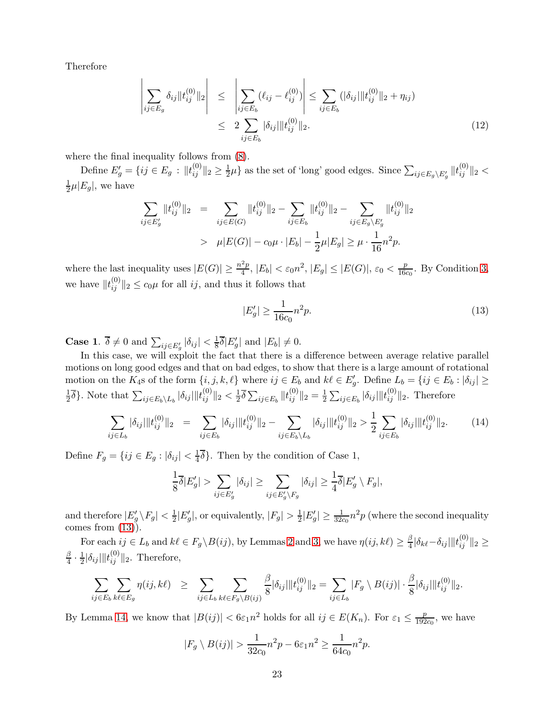Therefore

<span id="page-22-2"></span>
$$
\left| \sum_{ij \in E_g} \delta_{ij} \| t_{ij}^{(0)} \|_2 \right| \leq \left| \sum_{ij \in E_b} (\ell_{ij} - \ell_{ij}^{(0)}) \right| \leq \sum_{ij \in E_b} (|\delta_{ij}| \| t_{ij}^{(0)} \|_2 + \eta_{ij})
$$
  
 
$$
\leq 2 \sum_{ij \in E_b} |\delta_{ij}| \| t_{ij}^{(0)} \|_2.
$$
 (12)

where the final inequality follows from [\(8\)](#page-10-0).

Define  $E'_{g} = \{ ij \in E_{g} : ||t_{ij}^{(0)}||_{2} \geq \frac{1}{2}$  $\frac{1}{2}\mu$  as the set of 'long' good edges. Since  $\sum_{ij \in E_g \backslash E'_g} ||t_{ij}^{(0)}||_2$  < 1  $\frac{1}{2}\mu |E_g|$ , we have

$$
\sum_{ij \in E'_g} ||t_{ij}^{(0)}||_2 = \sum_{ij \in E(G)} ||t_{ij}^{(0)}||_2 - \sum_{ij \in E_b} ||t_{ij}^{(0)}||_2 - \sum_{ij \in E_g \setminus E'_g} ||t_{ij}^{(0)}||_2
$$
  
>  $\mu |E(G)| - c_0 \mu \cdot |E_b| - \frac{1}{2} \mu |E_g| \ge \mu \cdot \frac{1}{16} n^2 p.$ 

where the last inequality uses  $|E(G)| \geq \frac{n^2p}{4}$  $\frac{p_2}{4}$ ,  $|E_b| < \varepsilon_0 n^2$ ,  $|E_g| \leq |E(G)|$ ,  $\varepsilon_0 < \frac{p_0}{166}$  $\frac{p}{16c_0}$ . By Condition [3,](#page-19-4) we have  $||t_{ij}^{(0)}||_2 \le c_0\mu$  for all *ij*, and thus it follows that

<span id="page-22-0"></span>
$$
|E_g'| \ge \frac{1}{16c_0} n^2 p. \tag{13}
$$

**Case 1.**  $\overline{\delta} \neq 0$  and  $\sum_{ij \in E'_g} |\delta_{ij}| < \frac{1}{8}$  $\frac{1}{8}\delta|E'_g|$  and  $|E_b|\neq 0$ .

In this case, we will exploit the fact that there is a difference between average relative parallel motions on long good edges and that on bad edges, to show that there is a large amount of rotational motion on the  $K_4$ s of the form  $\{i, j, k, \ell\}$  where  $ij \in E_b$  and  $k\ell \in E'_g$ . Define  $L_b = \{ij \in E_b : |\delta_{ij}| \geq$ 1  $\frac{1}{2}\overline{\delta}\}$ . Note that  $\sum_{ij\in E_b\setminus L_b} |\delta_{ij}|\|t_{ij}^{(0)}\|_2 < \frac{1}{2}$  $\frac{1}{2}\overline{\delta}\sum_{ij\in E_{b}}\|t_{ij}^{(0)}\|_{2}=\frac{1}{2}$  $\frac{1}{2} \sum_{ij \in E_b} |\delta_{ij}| ||t_{ij}^{(0)}||_2$ . Therefore

<span id="page-22-1"></span>
$$
\sum_{ij \in L_b} |\delta_{ij}| \|t_{ij}^{(0)}\|_2 = \sum_{ij \in E_b} |\delta_{ij}| \|t_{ij}^{(0)}\|_2 - \sum_{ij \in E_b \setminus L_b} |\delta_{ij}| \|t_{ij}^{(0)}\|_2 > \frac{1}{2} \sum_{ij \in E_b} |\delta_{ij}| \|t_{ij}^{(0)}\|_2.
$$
 (14)

Define  $F_g = \{ij \in E_g : |\delta_{ij}| < \frac{1}{4}\}$  $\frac{1}{4}\delta$ . Then by the condition of Case 1,

$$
\frac{1}{8}\overline{\delta}|E'_{g}| > \sum_{ij \in E'_{g}} |\delta_{ij}| \ge \sum_{ij \in E'_{g} \setminus F_{g}} |\delta_{ij}| \ge \frac{1}{4}\overline{\delta}|E'_{g} \setminus F_{g}|,
$$

and therefore  $|E'_g \setminus F_g| < \frac{1}{2}|E'_g|$ , or equivalently,  $|F_g| > \frac{1}{2}|E'_g| \ge \frac{1}{32c_0}n^2p$  (where the second inequality comes from  $(13)$ ).

For each  $ij \in L_b$  and  $k\ell \in F_g \backslash B(ij)$ , by Lemmas [2](#page-6-0) and [3,](#page-7-0) we have  $\eta(ij, k\ell) \geq \frac{\beta}{4}$  $\frac{\beta}{4}|\delta_{k\ell}\!-\!\delta_{ij}|\|t_{ij}^{(0)}\|_2\geq$ β  $\frac{\beta}{4} \cdot \frac{1}{2}$  $\frac{1}{2}|\delta_{ij}|\|t_{ij}^{(0)}\|_2$ . Therefore,

$$
\sum_{ij \in E_b} \sum_{k\ell \in E_g} \eta(ij, k\ell) \geq \sum_{ij \in L_b} \sum_{k\ell \in F_g \backslash B(ij)} \frac{\beta}{8} |\delta_{ij}| \|t_{ij}^{(0)}\|_2 = \sum_{ij \in L_b} |F_g \setminus B(ij)| \cdot \frac{\beta}{8} |\delta_{ij}| \|t_{ij}^{(0)}\|_2.
$$

By Lemma [14,](#page-20-1) we know that  $|B(ij)| < 6\varepsilon_1 n^2$  holds for all  $ij \in E(K_n)$ . For  $\varepsilon_1 \leq \frac{p}{192}$  $\frac{p}{192c_0}$ , we have

$$
|F_g \setminus B(ij)| > \frac{1}{32c_0}n^2p - 6\varepsilon_1 n^2 \ge \frac{1}{64c_0}n^2p.
$$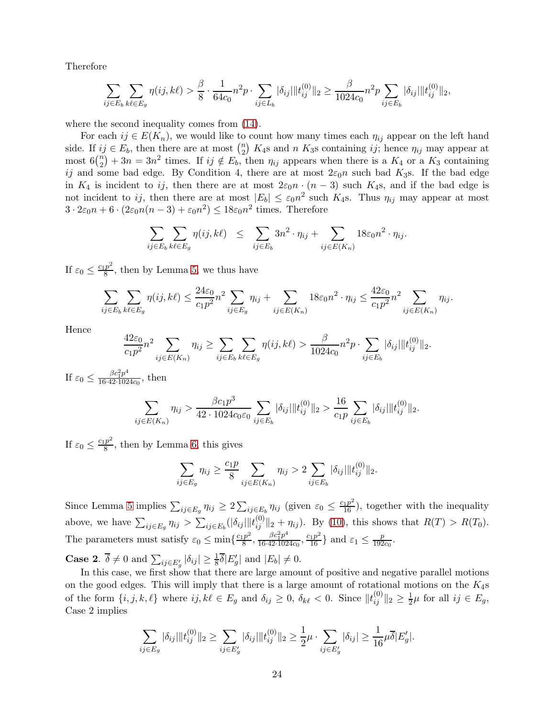Therefore

$$
\sum_{ij \in E_b} \sum_{k\ell \in E_g} \eta(ij, k\ell) > \frac{\beta}{8} \cdot \frac{1}{64c_0} n^2 p \cdot \sum_{ij \in L_b} |\delta_{ij}| \|t_{ij}^{(0)}\|_2 \ge \frac{\beta}{1024c_0} n^2 p \sum_{ij \in E_b} |\delta_{ij}| \|t_{ij}^{(0)}\|_2,
$$

where the second inequality comes from  $(14)$ .

For each  $ij \in E(K_n)$ , we would like to count how many times each  $\eta_{ij}$  appear on the left hand side. If  $ij \in E_b$ , then there are at most  $\binom{n}{2}$  $n \choose 2$  K<sub>4</sub>s and *n* K<sub>3</sub>s containing *ij*; hence  $\eta_{ij}$  may appear at most  $6\binom{n}{2}$  $\binom{n}{2} + 3n = 3n^2$  times. If  $ij \notin E_b$ , then  $\eta_{ij}$  appears when there is a  $K_4$  or a  $K_3$  containing ij and some bad edge. By Condition 4, there are at most  $2\varepsilon_0 n$  such bad K<sub>3</sub>s. If the bad edge in  $K_4$  is incident to ij, then there are at most  $2\varepsilon_0 n \cdot (n-3)$  such  $K_4$ s, and if the bad edge is not incident to ij, then there are at most  $|E_b| \leq \varepsilon_0 n^2$  such  $K_4$ s. Thus  $\eta_{ij}$  may appear at most  $3 \cdot 2\varepsilon_0 n + 6 \cdot (2\varepsilon_0 n(n-3) + \varepsilon_0 n^2) \le 18\varepsilon_0 n^2$  times. Therefore

$$
\sum_{ij \in E_b} \sum_{k\ell \in E_g} \eta(ij, k\ell) \leq \sum_{ij \in E_b} 3n^2 \cdot \eta_{ij} + \sum_{ij \in E(K_n)} 18\varepsilon_0 n^2 \cdot \eta_{ij}.
$$

If  $\varepsilon_0 \leq \frac{c_1 p^2}{8}$  $\frac{p}{8}$ , then by Lemma [5,](#page-8-1) we thus have

$$
\sum_{ij \in E_b} \sum_{k\ell \in E_g} \eta(ij, k\ell) \le \frac{24\varepsilon_0}{c_1 p^2} n^2 \sum_{ij \in E_g} \eta_{ij} + \sum_{ij \in E(K_n)} 18\varepsilon_0 n^2 \cdot \eta_{ij} \le \frac{42\varepsilon_0}{c_1 p^2} n^2 \sum_{ij \in E(K_n)} \eta_{ij}.
$$

Hence

$$
\frac{42\varepsilon_0}{c_1 p^2} n^2 \sum_{ij \in E(K_n)} \eta_{ij} \ge \sum_{ij \in E_b} \sum_{k\ell \in E_g} \eta(ij, k\ell) > \frac{\beta}{1024c_0} n^2 p \cdot \sum_{ij \in E_b} |\delta_{ij}| \|t_{ij}^{(0)}\|_2.
$$

If  $\varepsilon_0 \leq \frac{\beta c_1^2 p^4}{16 \cdot 42 \cdot 102}$  $\frac{\rho c_1 p}{16.42.1024c_0}$ , then

$$
\sum_{ij \in E(K_n)} \eta_{ij} > \frac{\beta c_1 p^3}{42 \cdot 1024 c_0 \varepsilon_0} \sum_{ij \in E_b} |\delta_{ij}| \|t_{ij}^{(0)}\|_2 > \frac{16}{c_1 p} \sum_{ij \in E_b} |\delta_{ij}| \|t_{ij}^{(0)}\|_2.
$$

If  $\varepsilon_0 \leq \frac{c_1 p^2}{8}$  $\frac{p}{8}$ , then by Lemma [6,](#page-9-0) this gives

$$
\sum_{ij \in E_g} \eta_{ij} \ge \frac{c_1 p}{8} \sum_{ij \in E(K_n)} \eta_{ij} > 2 \sum_{ij \in E_b} |\delta_{ij}| ||t_{ij}^{(0)}||_2.
$$

Since Lemma [5](#page-8-1) implies  $\sum_{ij \in E_g} \eta_{ij} \ge 2 \sum_{ij \in E_b} \eta_{ij}$  (given  $\varepsilon_0 \le \frac{c_1 p^2}{16}$ ), together with the inequality above, we have  $\sum_{ij\in E_g}\eta_{ij} > \sum_{ij\in E_b}(|\delta_{ij}|||t_{ij}^{(0)}||_2 + \eta_{ij})$ . By [\(10\)](#page-20-0), this shows that  $R(T) > R(T_0)$ . The parameters must satisfy  $\varepsilon_0 \le \min\{\frac{c_1 p^2}{8}$  $\frac{p^2}{8}, \frac{\beta c_1^2 p^4}{16 \cdot 42 \cdot 102}$  $\frac{\beta c_1^2 p^4}{16 \cdot 42 \cdot 1024c_0}, \frac{c_1 p^2}{16}$  and  $\varepsilon_1 \le \frac{p}{192}$  $rac{p}{192c_0}$ .

**Case 2.**  $\overline{\delta} \neq 0$  and  $\sum_{ij \in E'_g} |\delta_{ij}| \geq \frac{1}{8} \overline{\delta} |E'_g|$  and  $|E_b| \neq 0$ .

In this case, we first show that there are large amount of positive and negative parallel motions on the good edges. This will imply that there is a large amount of rotational motions on the  $K_4$ s of the form  $\{i, j, k, \ell\}$  where  $ij, k\ell \in E_g$  and  $\delta_{ij} \geq 0$ ,  $\delta_{k\ell} < 0$ . Since  $||t_{ij}^{(0)}||_2 \geq \frac{1}{2}\mu$  for all  $ij \in E_g$ , Case 2 implies

$$
\sum_{ij \in E_g} |\delta_{ij}| \|t_{ij}^{(0)}\|_2 \ge \sum_{ij \in E'_g} |\delta_{ij}| \|t_{ij}^{(0)}\|_2 \ge \frac{1}{2}\mu \cdot \sum_{ij \in E'_g} |\delta_{ij}| \ge \frac{1}{16}\mu \overline{\delta}|E'_g|.
$$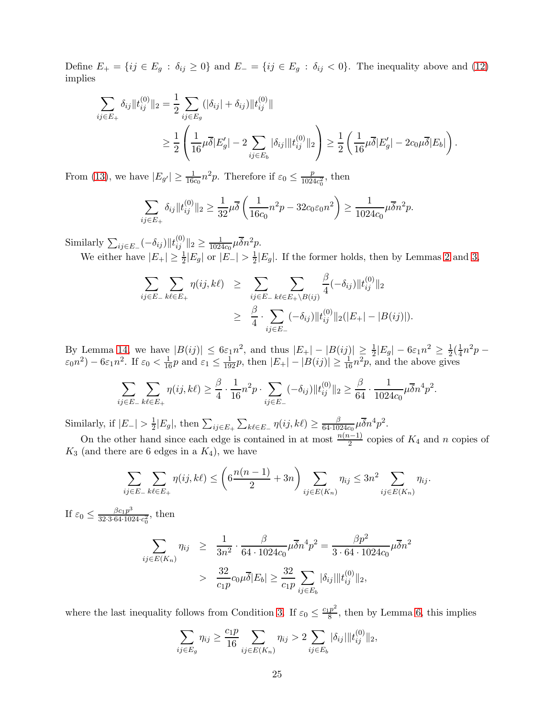Define  $E_+ = \{ij \in E_g : \delta_{ij} \geq 0\}$  and  $E_- = \{ij \in E_g : \delta_{ij} < 0\}$ . The inequality above and [\(12\)](#page-22-2) implies

$$
\sum_{ij \in E_+} \delta_{ij} \|t_{ij}^{(0)}\|_2 = \frac{1}{2} \sum_{ij \in E_g} (|\delta_{ij}| + \delta_{ij}) \|t_{ij}^{(0)}\|
$$
  

$$
\geq \frac{1}{2} \left( \frac{1}{16} \mu \overline{\delta} |E'_g| - 2 \sum_{ij \in E_b} |\delta_{ij}| \|t_{ij}^{(0)}\|_2 \right) \geq \frac{1}{2} \left( \frac{1}{16} \mu \overline{\delta} |E'_g| - 2c_0 \mu \overline{\delta} |E_b| \right).
$$

From [\(13\)](#page-22-0), we have  $|E_{g'}| \ge \frac{1}{16c_0} n^2 p$ . Therefore if  $\varepsilon_0 \le \frac{p}{102\varepsilon}$  $\frac{p}{1024c_0^2}$ , then

$$
\sum_{ij \in E_+} \delta_{ij} \|t_{ij}^{(0)}\|_2 \ge \frac{1}{32} \mu \overline{\delta} \left( \frac{1}{16c_0} n^2 p - 32c_0 \varepsilon_0 n^2 \right) \ge \frac{1}{1024c_0} \mu \overline{\delta} n^2 p.
$$

Similarly  $\sum_{ij \in E_{-}} (-\delta_{ij}) ||t_{ij}^{(0)}||_{2} \ge \frac{1}{1024}$  $\frac{1}{1024c_0}\mu\overline{\delta}n^2p.$ 

We either have  $|E_+| \geq \frac{1}{2}|E_g|$  or  $|E_-| > \frac{1}{2}$  $\frac{1}{2}|E_g|$ . If the former holds, then by Lemmas [2](#page-6-0) and [3,](#page-7-0)

$$
\sum_{ij \in E_-} \sum_{k\ell \in E_+} \eta(ij, k\ell) \geq \sum_{ij \in E_-} \sum_{k\ell \in E_+\setminus B(ij)} \frac{\beta}{4} (-\delta_{ij}) \|t_{ij}^{(0)}\|_2
$$
  
 
$$
\geq \frac{\beta}{4} \cdot \sum_{ij \in E_-} (-\delta_{ij}) \|t_{ij}^{(0)}\|_2 (|E_+| - |B(ij)|).
$$

By Lemma [14,](#page-20-1) we have  $|B(ij)| \leq 6\varepsilon_1 n^2$ , and thus  $|E_+| - |B(ij)| \geq \frac{1}{2}|E_g| - 6\varepsilon_1 n^2 \geq \frac{1}{2}(\frac{1}{4})$  $\frac{1}{4}n^2p \varepsilon_0 n^2$ ) –  $6\varepsilon_1 n^2$ . If  $\varepsilon_0 < \frac{1}{16}p$  and  $\varepsilon_1 \leq \frac{1}{192}p$ , then  $|E_+| - |B(ij)| \geq \frac{1}{16}n^2p$ , and the above gives

$$
\sum_{ij \in E_-} \sum_{k\ell \in E_+} \eta(ij, k\ell) \ge \frac{\beta}{4} \cdot \frac{1}{16} n^2 p \cdot \sum_{ij \in E_-} (-\delta_{ij}) \| t_{ij}^{(0)} \|_2 \ge \frac{\beta}{64} \cdot \frac{1}{1024c_0} \mu \overline{\delta} n^4 p^2.
$$

Similarly, if  $|E_{-}| > \frac{1}{2}$  $\frac{1}{2}|E_g|$ , then  $\sum_{ij\in E_+}\sum_{k\ell\in E_-}\eta(ij,k\ell)\geq \frac{\beta}{64\cdot 10\ell}$  $\frac{\beta}{64\cdot 1024c_0}\mu\overline{\delta}n^4p^2.$ 

On the other hand since each edge is contained in at most  $\frac{n(n-1)}{2}$  copies of  $K_4$  and n copies of  $K_3$  (and there are 6 edges in a  $K_4$ ), we have

$$
\sum_{ij \in E_-} \sum_{k\ell \in E_+} \eta(ij, k\ell) \le \left(6\frac{n(n-1)}{2} + 3n\right) \sum_{ij \in E(K_n)} \eta_{ij} \le 3n^2 \sum_{ij \in E(K_n)} \eta_{ij}.
$$

If  $\varepsilon_0 \leq \frac{\beta c_1 p^3}{32 \cdot 3 \cdot 64 \cdot 103}$  $\frac{\beta c_1 p^3}{32 \cdot 3 \cdot 64 \cdot 1024 \cdot c_0^2}$ , then

$$
\sum_{ij \in E(K_n)} \eta_{ij} \ge \frac{1}{3n^2} \cdot \frac{\beta}{64 \cdot 1024c_0} \mu \overline{\delta} n^4 p^2 = \frac{\beta p^2}{3 \cdot 64 \cdot 1024c_0} \mu \overline{\delta} n^2
$$

$$
> \frac{32}{c_1 p} c_0 \mu \overline{\delta} |E_b| \ge \frac{32}{c_1 p} \sum_{ij \in E_b} |\delta_{ij}| \|t_{ij}^{(0)}\|_2,
$$

where the last inequality follows from Condition [3.](#page-19-4) If  $\varepsilon_0 \leq \frac{c_1 p^2}{8}$  $\frac{p}{8}$ , then by Lemma [6,](#page-9-0) this implies

$$
\sum_{ij \in E_g} \eta_{ij} \ge \frac{c_1 p}{16} \sum_{ij \in E(K_n)} \eta_{ij} > 2 \sum_{ij \in E_b} |\delta_{ij}| ||t_{ij}^{(0)}||_2,
$$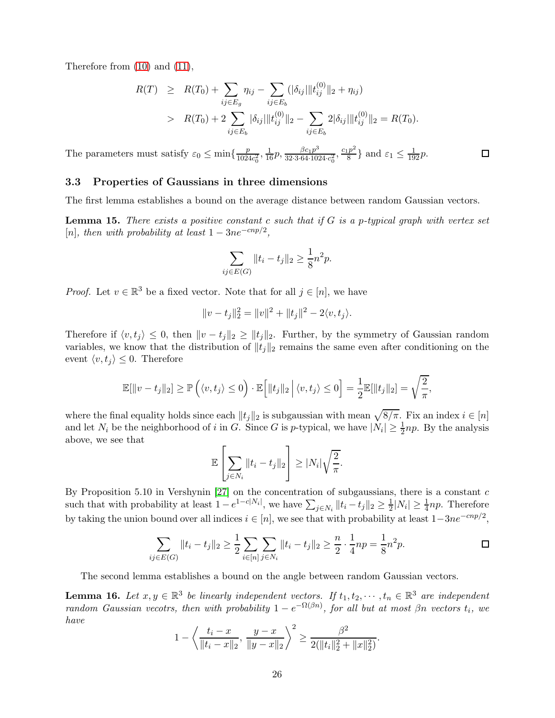Therefore from [\(10\)](#page-20-0) and [\(11\)](#page-21-0),

$$
R(T) \geq R(T_0) + \sum_{ij \in E_g} \eta_{ij} - \sum_{ij \in E_b} (|\delta_{ij}| \|t_{ij}^{(0)}\|_2 + \eta_{ij})
$$
  
> 
$$
R(T_0) + 2 \sum_{ij \in E_b} |\delta_{ij}| \|t_{ij}^{(0)}\|_2 - \sum_{ij \in E_b} 2|\delta_{ij}| \|t_{ij}^{(0)}\|_2 = R(T_0).
$$

 $\Box$ 

The parameters must satisfy  $\varepsilon_0 \le \min\{\frac{p}{102\varepsilon}\}$  $\frac{p}{1024c_0^2}, \frac{1}{16}p, \frac{\beta c_1p^3}{32 \cdot 3 \cdot 64 \cdot 102}$  $rac{\beta c_1 p^3}{32 \cdot 3 \cdot 64 \cdot 1024 \cdot c_0^2}$ ,  $rac{c_1 p^2}{8}$  $\frac{p^2}{8}$  and  $\varepsilon_1 \leq \frac{1}{192}p$ .

## 3.3 Properties of Gaussians in three dimensions

The first lemma establishes a bound on the average distance between random Gaussian vectors.

<span id="page-25-0"></span>Lemma 15. *There exists a positive constant* c *such that if* G *is a* p*-typical graph with vertex set*  $[n]$ *, then with probability at least*  $1 - 3ne^{-cnp/2}$ *,* 

$$
\sum_{ij \in E(G)} ||t_i - t_j||_2 \ge \frac{1}{8}n^2p.
$$

*Proof.* Let  $v \in \mathbb{R}^3$  be a fixed vector. Note that for all  $j \in [n]$ , we have

$$
||v - t_j||_2^2 = ||v||^2 + ||t_j||^2 - 2\langle v, t_j \rangle.
$$

Therefore if  $\langle v, t_j \rangle \leq 0$ , then  $||v - t_j||_2 \geq ||t_j||_2$ . Further, by the symmetry of Gaussian random variables, we know that the distribution of  $||t_j||_2$  remains the same even after conditioning on the event  $\langle v, t_j \rangle \leq 0$ . Therefore

$$
\mathbb{E}[\|v - t_j\|_2] \ge \mathbb{P}\left(\langle v, t_j \rangle \le 0\right) \cdot \mathbb{E}\left[\|t_j\|_2 \, \Big|\, \langle v, t_j \rangle \le 0\right] = \frac{1}{2} \mathbb{E}[\|t_j\|_2] = \sqrt{\frac{2}{\pi}},
$$

where the final equality holds since each  $||t_j||_2$  is subgaussian with mean  $\sqrt{8/\pi}$ . Fix an index  $i \in [n]$ and let  $N_i$  be the neighborhood of i in G. Since G is p-typical, we have  $|N_i| \geq \frac{1}{2} np$ . By the analysis above, we see that

$$
\mathbb{E}\left[\sum_{j\in N_i}||t_i-t_j||_2\right] \geq |N_i|\sqrt{\frac{2}{\pi}}.
$$

By Proposition 5.10 in Vershynin  $[27]$  on the concentration of subgaussians, there is a constant c such that with probability at least  $1 - e^{1 - c|N_i|}$ , we have  $\sum_{j \in N_i} ||t_i - t_j||_2 \ge \frac{1}{2}|N_i| \ge \frac{1}{4} np$ . Therefore by taking the union bound over all indices  $i \in [n]$ , we see that with probability at least  $1-3ne^{-cnp/2}$ ,

$$
\sum_{ij \in E(G)} ||t_i - t_j||_2 \ge \frac{1}{2} \sum_{i \in [n]} \sum_{j \in N_i} ||t_i - t_j||_2 \ge \frac{n}{2} \cdot \frac{1}{4} np = \frac{1}{8} n^2 p.
$$

The second lemma establishes a bound on the angle between random Gaussian vectors.

<span id="page-25-1"></span>**Lemma 16.** Let  $x, y \in \mathbb{R}^3$  be linearly independent vectors. If  $t_1, t_2, \dots, t_n \in \mathbb{R}^3$  are independent *random Gaussian vecotrs, then with probability*  $1 - e^{-\Omega(\beta n)}$ , for all but at most  $\beta n$  vectors  $t_i$ , we *have*

$$
1 - \left\langle \frac{t_i - x}{\|t_i - x\|_2}, \frac{y - x}{\|y - x\|_2} \right\rangle^2 \ge \frac{\beta^2}{2(\|t_i\|_2^2 + \|x\|_2^2)}.
$$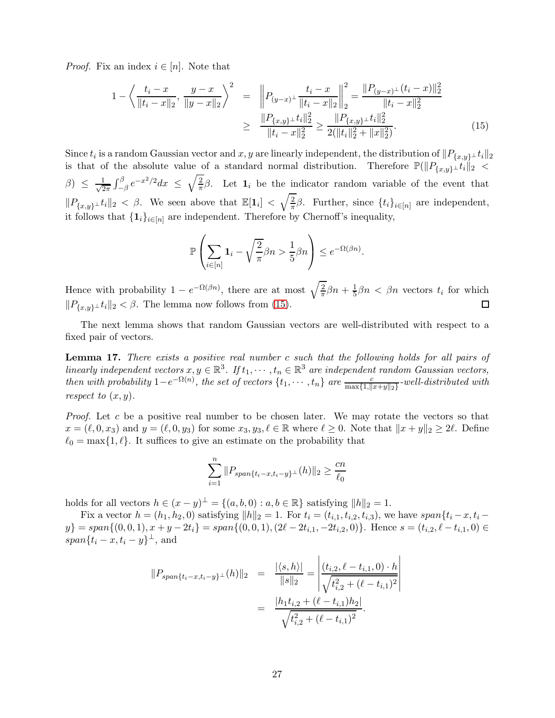*Proof.* Fix an index  $i \in [n]$ . Note that

<span id="page-26-0"></span>
$$
1 - \left\langle \frac{t_i - x}{\|t_i - x\|_2}, \frac{y - x}{\|y - x\|_2} \right\rangle^2 = \left\| P_{(y-x)^{\perp}} \frac{t_i - x}{\|t_i - x\|_2} \right\|_2^2 = \frac{\|P_{(y-x)^{\perp}}(t_i - x)\|_2^2}{\|t_i - x\|_2^2}
$$
  
 
$$
\geq \frac{\|P_{\{x,y\}^{\perp}}t_i\|_2^2}{\|t_i - x\|_2^2} \geq \frac{\|P_{\{x,y\}^{\perp}}t_i\|_2^2}{2(\|t_i\|_2^2 + \|x\|_2^2)}.
$$
 (15)

Since  $t_i$  is a random Gaussian vector and  $x, y$  are linearly independent, the distribution of  $||P_{\{x,y\}} \_ t_i||_2$ is that of the absolute value of a standard normal distribution. Therefore  $\mathbb{P}(\|P_{\{x,y\}}\_\_t\|_2 <$  $\beta$ )  $\leq \frac{1}{\sqrt{2}}$  $\frac{1}{2\pi} \int_{-\beta}^{\beta} e^{-x^2/2} dx \leq \sqrt{\frac{2}{\pi}}$  $\frac{2}{\pi}\beta$ . Let  $\mathbf{1}_i$  be the indicator random variable of the event that  $||P_{\{x,y\}} \_t||_2 < \beta$ . We seen above that  $\mathbb{E}[\mathbf{1}_i] < \sqrt{\frac{2}{\pi}}$  $\frac{2}{\pi}\beta$ . Further, since  $\{t_i\}_{i\in[n]}$  are independent, it follows that  $\{\mathbf 1_i\}_{i\in[n]}$  are independent. Therefore by Chernoff's inequality,

$$
\mathbb{P}\left(\sum_{i\in[n]}1_i-\sqrt{\frac{2}{\pi}}\beta n>\frac{1}{5}\beta n\right)\leq e^{-\Omega(\beta n)}.
$$

Hence with probability  $1 - e^{-\Omega(\beta n)}$ , there are at most  $\sqrt{\frac{2}{\pi}}$  $\frac{2}{\pi}\beta n + \frac{1}{5}$  $\frac{1}{5}\beta n < \beta n$  vectors  $t_i$  for which  $||P_{\{x,y\}} \_t||_2 < \beta$ . The lemma now follows from [\(15\)](#page-26-0).  $\Box$ 

The next lemma shows that random Gaussian vectors are well-distributed with respect to a fixed pair of vectors.

<span id="page-26-1"></span>Lemma 17. *There exists a positive real number* c *such that the following holds for all pairs of linearly independent vectors*  $x, y \in \mathbb{R}^3$ . If  $t_1, \dots, t_n \in \mathbb{R}^3$  are independent random Gaussian vectors, *then with probability*  $1-e^{-\Omega(n)}$ , *the set of vectors*  $\{t_1,\dots,t_n\}$  *are*  $\frac{c}{\max\{1,\|x+y\|_2\}}$ -well-distributed with *respect to*  $(x, y)$ *.* 

*Proof.* Let c be a positive real number to be chosen later. We may rotate the vectors so that  $x = (\ell, 0, x_3)$  and  $y = (\ell, 0, y_3)$  for some  $x_3, y_3, \ell \in \mathbb{R}$  where  $\ell \geq 0$ . Note that  $||x + y||_2 \geq 2\ell$ . Define  $\ell_0 = \max\{1, \ell\}.$  It suffices to give an estimate on the probability that

$$
\sum_{i=1}^{n} \|P_{span\{t_i - x, t_i - y\}^\perp}(h)\|_2 \ge \frac{cn}{\ell_0}
$$

holds for all vectors  $h \in (x - y)^{\perp} = \{(a, b, 0) : a, b \in \mathbb{R}\}\)$  satisfying  $||h||_2 = 1$ .

Fix a vector  $h = (h_1, h_2, 0)$  satisfying  $||h||_2 = 1$ . For  $t_i = (t_{i,1}, t_{i,2}, t_{i,3})$ , we have span $\{t_i - x, t_i - x_{i,3}\}$  $y$ } = span $\{(0,0,1), x + y - 2t_i\} = span\{(0,0,1), (2\ell - 2t_{i,1}, -2t_{i,2}, 0)\}.$  Hence  $s = (t_{i,2}, \ell - t_{i,1}, 0) \in$  $span\{t_i-x,t_i-y\}^{\perp}$ , and

$$
||P_{span{t_i-x,t_i-y}}\perp(h)||_2 = \frac{|\langle s,h\rangle|}{||s||_2} = \left| \frac{(t_{i,2}, \ell - t_{i,1}, 0) \cdot h}{\sqrt{t_{i,2}^2 + (\ell - t_{i,1})^2}} \right|
$$
  
= 
$$
\frac{|h_1 t_{i,2} + (\ell - t_{i,1})h_2|}{\sqrt{t_{i,2}^2 + (\ell - t_{i,1})^2}}.
$$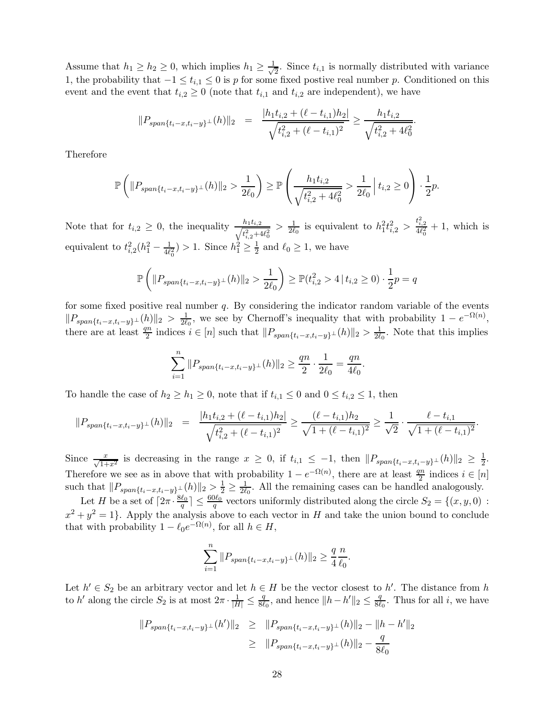Assume that  $h_1 \geq h_2 \geq 0$ , which implies  $h_1 \geq \frac{1}{\sqrt{2}}$  $\frac{1}{2}$ . Since  $t_{i,1}$  is normally distributed with variance 1, the probability that  $-1 \le t_{i,1} \le 0$  is p for some fixed postive real number p. Conditioned on this event and the event that  $t_{i,2} \geq 0$  (note that  $t_{i,1}$  and  $t_{i,2}$  are independent), we have

$$
||P_{span{t_i-x,t_i-y}}\perp(h)||_2 = \frac{|h_1t_{i,2} + (\ell - t_{i,1})h_2|}{\sqrt{t_{i,2}^2 + (\ell - t_{i,1})^2}} \ge \frac{h_1t_{i,2}}{\sqrt{t_{i,2}^2 + 4\ell_0^2}}
$$

.

Therefore

$$
\mathbb{P}\left(\|P_{span\{t_i-x,t_i-y\}}\_\p}(h)\|_2 > \frac{1}{2\ell_0}\right) \ge \mathbb{P}\left(\frac{h_1t_{i,2}}{\sqrt{t_{i,2}^2+4\ell_0^2}} > \frac{1}{2\ell_0} \mid t_{i,2} \ge 0\right) \cdot \frac{1}{2}p.
$$

Note that for  $t_{i,2} \geq 0$ , the inequality  $\frac{h_1 t_{i,2}}{\sqrt{t_{i,2}^2 + 4}}$  $t_{i,2}^2+4\ell_0^2$  $> \frac{1}{2\ell}$  $\frac{1}{2\ell_0}$  is equivalent to  $h_1^2 t_{i,2}^2 > \frac{t_{i,2}^2}{4\ell_0^2} + 1$ , which is equivalent to  $t_{i,2}^2(h_1^2 - \frac{1}{4\ell_0^2}) > 1$ . Since  $h_1^2 \ge \frac{1}{2}$  and  $\ell_0 \ge 1$ , we have

$$
\mathbb{P}\left(\|P_{span\{t_i-x,t_i-y\}^\perp}(h)\|_2 > \frac{1}{2\ell_0}\right) \ge \mathbb{P}(t_{i,2}^2 > 4 \,|\, t_{i,2} \ge 0) \cdot \frac{1}{2}p = q
$$

for some fixed positive real number  $q$ . By considering the indicator random variable of the events  $||P_{span{t_i-x,t_i-y}}\_ (h)||_2 > \frac{1}{2\ell}$  $\frac{1}{2\ell_0}$ , we see by Chernoff's inequality that with probability  $1 - e^{-\Omega(n)}$ , there are at least  $\frac{qn}{2}$  indices  $i \in [n]$  such that  $||P_{span{t_i-x,t_i-y}}\_1(h)||_2 > \frac{1}{2\ell}$  $\frac{1}{2\ell_0}$ . Note that this implies

$$
\sum_{i=1}^{n} ||P_{span\{t_i-x,t_i-y\}^{\perp}}(h)||_2 \ge \frac{qn}{2} \cdot \frac{1}{2\ell_0} = \frac{qn}{4\ell_0}.
$$

To handle the case of  $h_2 \geq h_1 \geq 0$ , note that if  $t_{i,1} \leq 0$  and  $0 \leq t_{i,2} \leq 1$ , then

$$
||P_{span\{t_i-x,t_i-y\}}+(h)||_2 = \frac{|h_1t_{i,2}+(\ell-t_{i,1})h_2|}{\sqrt{t_{i,2}^2+(\ell-t_{i,1})^2}} \geq \frac{(\ell-t_{i,1})h_2}{\sqrt{1+(\ell-t_{i,1})^2}} \geq \frac{1}{\sqrt{2}} \cdot \frac{\ell-t_{i,1}}{\sqrt{1+(\ell-t_{i,1})^2}}.
$$

Since  $\frac{x}{\sqrt{1+x^2}}$  is decreasing in the range  $x \geq 0$ , if  $t_{i,1} \leq -1$ , then  $||P_{span{t_i-x,t_i-y}}\_+(h)||_2 \geq \frac{1}{2}$ . Therefore we see as in above that with probability  $1 - e^{-\Omega(n)}$ , there are at least  $\frac{qn}{2}$  indices  $i \in [n]$ such that  $||P_{span{t_i-x,t_i-y}}||(h)||_2 > \frac{1}{2} \geq \frac{1}{2\ell_0}$ . All the remaining cases can be handle  $\frac{1}{2\ell_0}$ . All the remaining cases can be handled analogously.

Let H be a set of  $\lceil 2\pi \cdot \frac{8\ell_0}{q} \rceil \leq \frac{60\ell_0}{q}$  vectors uniformly distributed along the circle  $S_2 = \{(x, y, 0) :$  $x^2 + y^2 = 1$ . Apply the analysis above to each vector in H and take the union bound to conclude that with probability  $1 - \ell_0 e^{-\Omega(n)}$ , for all  $h \in H$ ,

$$
\sum_{i=1}^{n} ||P_{span\{t_i-x,t_i-y\}^{\perp}}(h)||_2 \ge \frac{q}{4} \frac{n}{\ell_0}.
$$

Let  $h' \in S_2$  be an arbitrary vector and let  $h \in H$  be the vector closest to h'. The distance from h to  $h'$  along the circle  $S_2$  is at most  $2\pi \cdot \frac{1}{|H|} \leq \frac{q}{8\ell}$  $\frac{q}{8\ell_0}$ , and hence  $||h-h'||_2 \leq \frac{q}{8\ell_0}$  $\frac{q}{8\ell_0}$ . Thus for all *i*, we have

$$
||P_{span{t_i-x,t_i-y}}+(h')||_2 \ge ||P_{span{t_i-x,t_i-y}}+(h)||_2 - ||h-h'||_2
$$
  

$$
\ge ||P_{span{t_i-x,t_i-y}}+(h)||_2 - \frac{q}{8\ell_0}
$$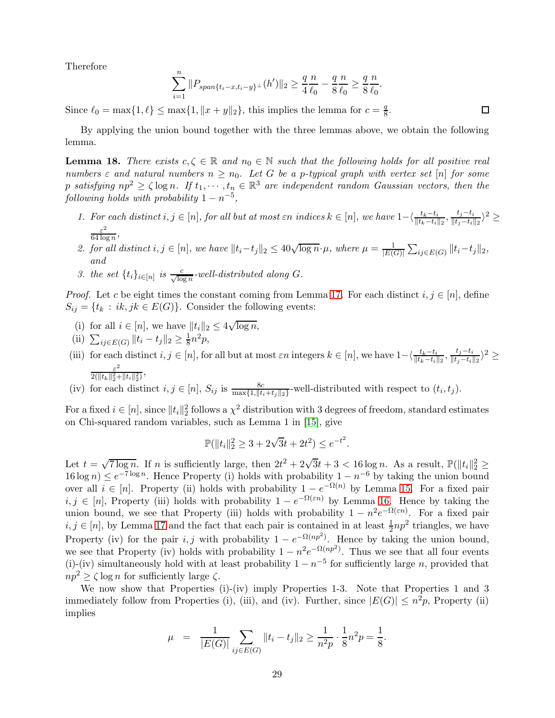Therefore

$$
\sum_{i=1}^{n} \|P_{span\{t_i - x, t_i - y\}}(h')\|_2 \ge \frac{q}{4} \frac{n}{\ell_0} - \frac{q}{8} \frac{n}{\ell_0} \ge \frac{q}{8} \frac{n}{\ell_0}.
$$

Since  $\ell_0 = \max\{1, \ell\} \le \max\{1, \|x + y\|_2\}$ , this implies the lemma for  $c = \frac{q}{8}$  $\frac{q}{8}$ .

 $\Box$ 

By applying the union bound together with the three lemmas above, we obtain the following lemma.

<span id="page-28-0"></span>**Lemma 18.** There exists  $c, \zeta \in \mathbb{R}$  and  $n_0 \in \mathbb{N}$  such that the following holds for all positive real *numbers*  $\varepsilon$  *and natural numbers*  $n \geq n_0$ *. Let* G *be a p-typical graph with vertex set* [n] *for some* p satisfying  $np^2 \ge \zeta \log n$ . If  $t_1, \dots, t_n \in \mathbb{R}^3$  are independent random Gaussian vectors, then the  $following$  *holds with probability*  $1 - n^{-5}$ ,

- *1.* For each distinct  $i, j \in [n]$ , for all but at most  $\varepsilon n$  indices  $k \in [n]$ , we have  $1 \langle \frac{t_k t_i}{\| t_k t_i \|_2}, \frac{t_j t_i}{\| t_j t_i \|_2} \rangle$  $\frac{t_j-t_i}{\|t_j-t_i\|_2}$ <sup>2</sup> ≥ ε 2  $\frac{\varepsilon^2}{64 \log n},$
- 2. for all distinct  $i, j \in [n]$ , we have  $||t_i-t_j||_2 \leq 40\sqrt{\log n} \cdot \mu$ , where  $\mu = \frac{1}{|E(i)|}$  $\frac{1}{|E(G)|} \sum_{ij \in E(G)} ||t_i-t_j||_2,$ *and*
- *3. the set*  $\{t_i\}_{i \in [n]}$  *is*  $\frac{c}{\sqrt{\log n}}$ -well-distributed along G.

*Proof.* Let c be eight times the constant coming from Lemma [17.](#page-26-1) For each distinct  $i, j \in [n]$ , define  $S_{ij} = \{t_k : ik, jk \in E(G)\}.$  Consider the following events:

- (i) for all  $i \in [n]$ , we have  $||t_i||_2 \leq 4\sqrt{\log n}$ ,
- (ii)  $\sum_{ij \in E(G)} ||t_i t_j||_2 \ge \frac{1}{8}$  $\frac{1}{8}n^2p,$
- (iii) for each distinct  $i, j \in [n]$ , for all but at most  $\varepsilon n$  integers  $k \in [n]$ , we have  $1 \langle \frac{t_k t_i}{\| t_k t_i \|_2}, \frac{t_j t_i}{\| t_j t_i \|_2} \rangle$  $\frac{t_j-t_i}{\|t_j-t_i\|_2}$ <sup>2</sup> ≥ ε 2  $\frac{\varepsilon^2}{2(\|t_k\|_2^2 + \|t_i\|_2^2)},$
- (iv) for each distinct  $i, j \in [n]$ ,  $S_{ij}$  is  $\frac{8c}{\max\{1, ||t_i+t_j||_2\}}$ -well-distributed with respect to  $(t_i, t_j)$ .

For a fixed  $i \in [n]$ , since  $||t_i||_2^2$  follows a  $\chi^2$  distribution with 3 degrees of freedom, standard estimates on Chi-squared random variables, such as Lemma 1 in [\[15\]](#page-32-13), give

$$
\mathbb{P}(\|t_i\|_2^2 \ge 3 + 2\sqrt{3}t + 2t^2) \le e^{-t^2}.
$$

Let  $t = \sqrt{7 \log n}$ . If n is sufficiently large, then  $2t^2 + 2\sqrt{3}t + 3 < 16 \log n$ . As a result,  $\mathbb{P}(\|t_i\|_2^2 \geq$  $16 \log n \le e^{-7 \log n}$ . Hence Property (i) holds with probability  $1 - n^{-6}$  by taking the union bound over all  $i \in [n]$ . Property (ii) holds with probability  $1 - e^{-\Omega(n)}$  by Lemma [15.](#page-25-0) For a fixed pair  $i, j \in [n]$ , Property (iii) holds with probability  $1 - e^{-\Omega(\varepsilon n)}$  by Lemma [16.](#page-25-1) Hence by taking the union bound, we see that Property (iii) holds with probability  $1 - n^2 e^{-\Omega(\varepsilon n)}$ . For a fixed pair  $i, j \in [n]$ , by Lemma [17](#page-26-1) and the fact that each pair is contained in at least  $\frac{1}{2}np^2$  triangles, we have Property (iv) for the pair i, j with probability  $1 - e^{-\Omega(np^2)}$ . Hence by taking the union bound, we see that Property (iv) holds with probability  $1 - n^2 e^{-\Omega(np^2)}$ . Thus we see that all four events (i)-(iv) simultaneously hold with at least probability  $1 - n^{-5}$  for sufficiently large n, provided that  $np^2 > \zeta \log n$  for sufficiently large  $\zeta$ .

We now show that Properties (i)-(iv) imply Properties 1-3. Note that Properties 1 and 3 immediately follow from Properties (i), (iii), and (iv). Further, since  $|E(G)| \leq n^2 p$ , Property (ii) implies

$$
\mu = \frac{1}{|E(G)|} \sum_{ij \in E(G)} ||t_i - t_j||_2 \ge \frac{1}{n^2 p} \cdot \frac{1}{8} n^2 p = \frac{1}{8}.
$$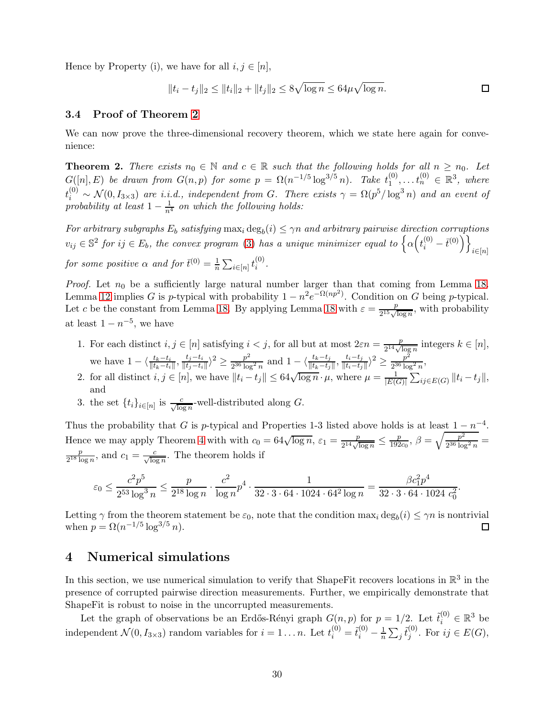Hence by Property (i), we have for all  $i, j \in [n]$ ,

$$
||t_i - t_j||_2 \le ||t_i||_2 + ||t_j||_2 \le 8\sqrt{\log n} \le 64\mu\sqrt{\log n}.
$$

## 3.4 Proof of Theorem [2](#page-29-0)

We can now prove the three-dimensional recovery theorem, which we state here again for convenience:

<span id="page-29-0"></span>**Theorem 2.** *There exists*  $n_0 \in \mathbb{N}$  *and*  $c \in \mathbb{R}$  *such that the following holds for all*  $n \geq n_0$ *. Let*  $G([n], E)$  *be drawn from*  $G(n, p)$  *for some*  $p = \Omega(n^{-1/5} \log^{3/5} n)$ *. Take*  $t_1^{(0)}$  $t_1^{(0)}, \ldots t_n^{(0)} \in \mathbb{R}^3$ , where  $t_i^{(0)} \sim \mathcal{N}(0, I_{3\times3})$  are i.i.d., independent from G. There exists  $\gamma = \Omega(p^5/\log^3 n)$  and an event of *probability at least*  $1 - \frac{1}{n^4}$  *on which the following holds:* 

*For arbitrary subgraphs*  $E_b$  *satisfying*  $\max_i \deg_b(i) \leq \gamma n$  *and arbitrary pairwise direction corruptions*  $v_{ij} \in \mathbb{S}^2$  for  $ij \in E_b$ , the convex program [\(3\)](#page-2-0) has a unique minimizer equal to  $\left\{ \alpha \left(t_i^{(0)} - \bar{t}^{(0)}\right) \right\}_{i \in [n]}$ *for some positive*  $\alpha$  *and for*  $\bar{t}^{(0)} = \frac{1}{n} \sum_{i \in [n]} t_i^{(0)}$ i *.*

*Proof.* Let  $n_0$  be a sufficiently large natural number larger than that coming from Lemma [18.](#page-28-0) Lemma [12](#page-18-3) implies G is p-typical with probability  $1 - n^2 e^{-\Omega(np^2)}$ . Condition on G being p-typical. Let c be the constant from Lemma [18.](#page-28-0) By applying Lemma [18](#page-28-0) with  $\varepsilon = \frac{p}{2^{15} \cdot A}$  $\frac{p}{2^{15}\sqrt{\log n}}$ , with probability at least  $1 - n^{-5}$ , we have

- 1. For each distinct  $i, j \in [n]$  satisfying  $i < j$ , for all but at most  $2\varepsilon n = \frac{p}{2^{14}\sqrt{N}}$  $\frac{p}{2^{14}\sqrt{\log n}}$  integers  $k \in [n],$ we have  $1 - \langle \frac{t_k - t_i}{||t_k - t_i||}, \frac{t_j - t_i}{||t_j - t_i||} \rangle$  $\frac{t_j-t_i}{\|t_j-t_i\|}$ <sup>2</sup> ≥  $\frac{p^2}{2^{36}\log}$  $\frac{p^2}{2^{36} \log^2 n}$  and  $1 - \langle \frac{t_k - t_j}{\| t_k - t_j \|}, \frac{t_i - t_j}{\| t_i - t_j \|}$  $\frac{t_i-t_j}{\|t_i-t_j\|}$ <sup>2</sup> ≥  $\frac{p^2}{2^{36}\log}$  $\frac{p^2}{2^{36} \log^2 n}$
- 2. for all distinct  $i, j \in [n]$ , we have  $||t_i t_j|| \leq 64\sqrt{\log n} \cdot \mu$ , where  $\mu = \frac{1}{|E(i)|}$  $\frac{1}{|E(G)|} \sum_{ij \in E(G)} ||t_i - t_j||,$ and
- 3. the set  $\{t_i\}_{i\in[n]}$  is  $\frac{c}{\sqrt{\log n}}$ -well-distributed along G.

Thus the probability that G is p-typical and Properties 1-3 listed above holds is at least  $1 - n^{-4}$ . Hence we may apply Theorem [4](#page-19-5) with with  $c_0 = 64\sqrt{\log n}, \epsilon_1 = \frac{p}{2^{14} \sqrt{n}}$  $\frac{p}{2^{14}\sqrt{\log n}} \leq \frac{p}{192}$  $\frac{p}{192c_0},\ \beta=\sqrt{\frac{p^2}{2^{36}\log p}}$  $\frac{p^2}{2^{36} \log^2 n} =$ p  $\frac{p}{2^{18} \log n}$ , and  $c_1 = \frac{c}{\sqrt{\log n}}$ . The theorem holds if

$$
\varepsilon_0 \leq \frac{c^2p^5}{2^{53}\log^3 n} \leq \frac{p}{2^{18}\log n} \cdot \frac{c^2}{\log n} p^4 \cdot \frac{1}{32\cdot 3\cdot 64\cdot 1024\cdot 64^2\log n} = \frac{\beta c_1^2p^4}{32\cdot 3\cdot 64\cdot 1024\ c_0^2}.
$$

Letting  $\gamma$  from the theorem statement be  $\varepsilon_0$ , note that the condition max<sub>i</sub> deg<sub>b</sub>(i)  $\leq \gamma n$  is nontrivial when  $p = \Omega(n^{-1/5} \log^{3/5} n)$ .

# <span id="page-29-1"></span>4 Numerical simulations

In this section, we use numerical simulation to verify that ShapeFit recovers locations in  $\mathbb{R}^3$  in the presence of corrupted pairwise direction measurements. Further, we empirically demonstrate that ShapeFit is robust to noise in the uncorrupted measurements.

Let the graph of observations be an Erdős-Rényi graph  $G(n, p)$  for  $p = 1/2$ . Let  $\tilde{t}_i^{(0)} \in \mathbb{R}^3$  be independent  $\mathcal{N}(0, I_{3\times3})$  random variables for  $i = 1...n$ . Let  $t_i^{(0)} = \tilde{t}_i^{(0)} - \frac{1}{n}$  $\frac{1}{n}\sum_j \tilde{t}^{(0)}_j$  $j^{(0)}$ . For  $ij \in E(G)$ ,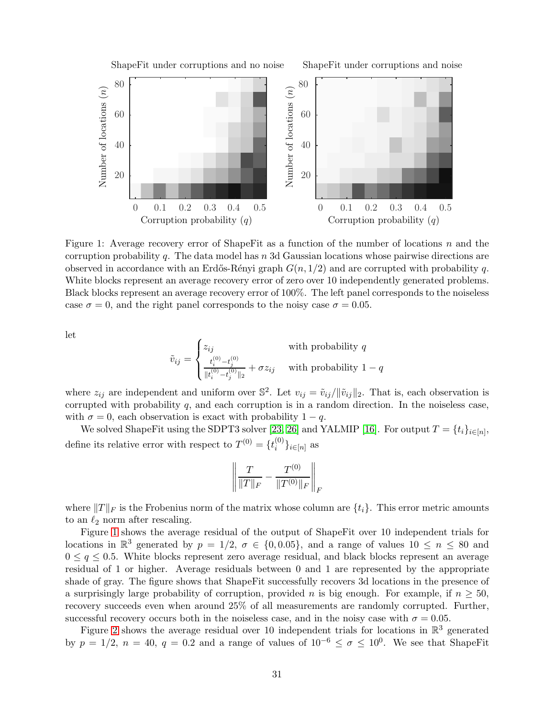

<span id="page-30-0"></span>Figure 1: Average recovery error of ShapeFit as a function of the number of locations n and the corruption probability q. The data model has  $n$  3d Gaussian locations whose pairwise directions are observed in accordance with an Erdős-Rényi graph  $G(n, 1/2)$  and are corrupted with probability q. White blocks represent an average recovery error of zero over 10 independently generated problems. Black blocks represent an average recovery error of 100%. The left panel corresponds to the noiseless case  $\sigma = 0$ , and the right panel corresponds to the noisy case  $\sigma = 0.05$ .

let

$$
\tilde{v}_{ij} = \begin{cases} z_{ij} & \text{with probability } q\\ \frac{t_i^{(0)} - t_j^{(0)}}{\|t_i^{(0)} - t_j^{(0)}\|_2} + \sigma z_{ij} & \text{with probability } 1 - q \end{cases}
$$

where  $z_{ij}$  are independent and uniform over  $\mathbb{S}^2$ . Let  $v_{ij} = \tilde{v}_{ij}/\|\tilde{v}_{ij}\|_2$ . That is, each observation is corrupted with probability  $q$ , and each corruption is in a random direction. In the noiseless case, with  $\sigma = 0$ , each observation is exact with probability  $1 - q$ .

We solved ShapeFit using the SDPT3 solver [\[23,](#page-33-7) [26\]](#page-33-8) and YALMIP [\[16\]](#page-32-14). For output  $T = \{t_i\}_{i \in [n]},$ define its relative error with respect to  $T^{(0)} = \{t_i^{(0)}\}$  $\binom{0}{i}i\in[n]$  as

$$
\left\| \frac{T}{\|T\|_F} - \frac{T^{(0)}}{\|T^{(0)}\|_F} \right\|_F
$$

where  $||T||_F$  is the Frobenius norm of the matrix whose column are  $\{t_i\}$ . This error metric amounts to an  $\ell_2$  norm after rescaling.

Figure [1](#page-30-0) shows the average residual of the output of ShapeFit over 10 independent trials for locations in  $\mathbb{R}^3$  generated by  $p = 1/2$ ,  $\sigma \in \{0, 0.05\}$ , and a range of values  $10 \le n \le 80$  and  $0 \leq q \leq 0.5$ . White blocks represent zero average residual, and black blocks represent an average residual of 1 or higher. Average residuals between 0 and 1 are represented by the appropriate shade of gray. The figure shows that ShapeFit successfully recovers 3d locations in the presence of a surprisingly large probability of corruption, provided n is big enough. For example, if  $n \geq 50$ , recovery succeeds even when around 25% of all measurements are randomly corrupted. Further, successful recovery occurs both in the noiseless case, and in the noisy case with  $\sigma = 0.05$ .

Figure [2](#page-31-4) shows the average residual over 10 independent trials for locations in  $\mathbb{R}^3$  generated by  $p = 1/2$ ,  $n = 40$ ,  $q = 0.2$  and a range of values of  $10^{-6} \leq \sigma \leq 10^{0}$ . We see that ShapeFit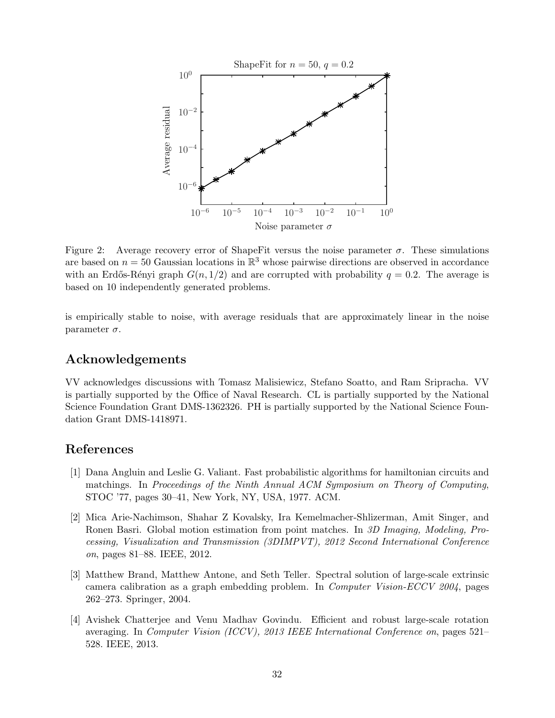

<span id="page-31-4"></span>Figure 2: Average recovery error of ShapeFit versus the noise parameter  $\sigma$ . These simulations are based on  $n = 50$  Gaussian locations in  $\mathbb{R}^3$  whose pairwise directions are observed in accordance with an Erdős-Rényi graph  $G(n, 1/2)$  and are corrupted with probability  $q = 0.2$ . The average is based on 10 independently generated problems.

is empirically stable to noise, with average residuals that are approximately linear in the noise parameter  $\sigma$ .

# Acknowledgements

VV acknowledges discussions with Tomasz Malisiewicz, Stefano Soatto, and Ram Sripracha. VV is partially supported by the Office of Naval Research. CL is partially supported by the National Science Foundation Grant DMS-1362326. PH is partially supported by the National Science Foundation Grant DMS-1418971.

# <span id="page-31-3"></span>References

- [1] Dana Angluin and Leslie G. Valiant. Fast probabilistic algorithms for hamiltonian circuits and matchings. In *Proceedings of the Ninth Annual ACM Symposium on Theory of Computing*, STOC '77, pages 30–41, New York, NY, USA, 1977. ACM.
- <span id="page-31-0"></span>[2] Mica Arie-Nachimson, Shahar Z Kovalsky, Ira Kemelmacher-Shlizerman, Amit Singer, and Ronen Basri. Global motion estimation from point matches. In *3D Imaging, Modeling, Processing, Visualization and Transmission (3DIMPVT), 2012 Second International Conference on*, pages 81–88. IEEE, 2012.
- <span id="page-31-2"></span>[3] Matthew Brand, Matthew Antone, and Seth Teller. Spectral solution of large-scale extrinsic camera calibration as a graph embedding problem. In *Computer Vision-ECCV 2004*, pages 262–273. Springer, 2004.
- <span id="page-31-1"></span>[4] Avishek Chatterjee and Venu Madhav Govindu. Efficient and robust large-scale rotation averaging. In *Computer Vision (ICCV), 2013 IEEE International Conference on*, pages 521– 528. IEEE, 2013.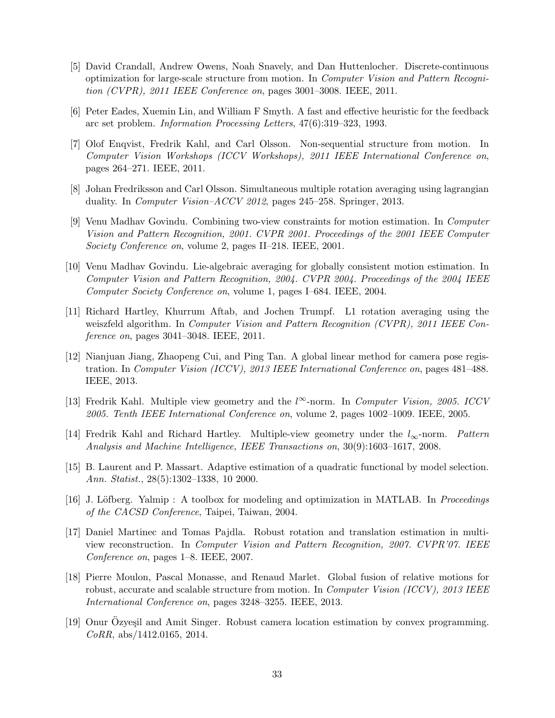- <span id="page-32-10"></span>[5] David Crandall, Andrew Owens, Noah Snavely, and Dan Huttenlocher. Discrete-continuous optimization for large-scale structure from motion. In *Computer Vision and Pattern Recognition (CVPR), 2011 IEEE Conference on*, pages 3001–3008. IEEE, 2011.
- <span id="page-32-3"></span><span id="page-32-1"></span>[6] Peter Eades, Xuemin Lin, and William F Smyth. A fast and effective heuristic for the feedback arc set problem. *Information Processing Letters*, 47(6):319–323, 1993.
- [7] Olof Enqvist, Fredrik Kahl, and Carl Olsson. Non-sequential structure from motion. In *Computer Vision Workshops (ICCV Workshops), 2011 IEEE International Conference on*, pages 264–271. IEEE, 2011.
- <span id="page-32-5"></span><span id="page-32-0"></span>[8] Johan Fredriksson and Carl Olsson. Simultaneous multiple rotation averaging using lagrangian duality. In *Computer Vision–ACCV 2012*, pages 245–258. Springer, 2013.
- [9] Venu Madhav Govindu. Combining two-view constraints for motion estimation. In *Computer Vision and Pattern Recognition, 2001. CVPR 2001. Proceedings of the 2001 IEEE Computer Society Conference on*, volume 2, pages II–218. IEEE, 2001.
- <span id="page-32-6"></span>[10] Venu Madhav Govindu. Lie-algebraic averaging for globally consistent motion estimation. In *Computer Vision and Pattern Recognition, 2004. CVPR 2004. Proceedings of the 2004 IEEE Computer Society Conference on*, volume 1, pages I–684. IEEE, 2004.
- <span id="page-32-4"></span>[11] Richard Hartley, Khurrum Aftab, and Jochen Trumpf. L1 rotation averaging using the weiszfeld algorithm. In *Computer Vision and Pattern Recognition (CVPR), 2011 IEEE Conference on*, pages 3041–3048. IEEE, 2011.
- <span id="page-32-11"></span>[12] Nianjuan Jiang, Zhaopeng Cui, and Ping Tan. A global linear method for camera pose registration. In *Computer Vision (ICCV), 2013 IEEE International Conference on*, pages 481–488. IEEE, 2013.
- <span id="page-32-8"></span>[13] Fredrik Kahl. Multiple view geometry and the l∞-norm. In *Computer Vision, 2005. ICCV 2005. Tenth IEEE International Conference on*, volume 2, pages 1002–1009. IEEE, 2005.
- <span id="page-32-9"></span>[14] Fredrik Kahl and Richard Hartley. Multiple-view geometry under the l∞-norm. *Pattern Analysis and Machine Intelligence, IEEE Transactions on*, 30(9):1603–1617, 2008.
- <span id="page-32-14"></span><span id="page-32-13"></span>[15] B. Laurent and P. Massart. Adaptive estimation of a quadratic functional by model selection. *Ann. Statist.*, 28(5):1302–1338, 10 2000.
- <span id="page-32-7"></span>[16] J. L¨ofberg. Yalmip : A toolbox for modeling and optimization in MATLAB. In *Proceedings of the CACSD Conference*, Taipei, Taiwan, 2004.
- [17] Daniel Martinec and Tomas Pajdla. Robust rotation and translation estimation in multiview reconstruction. In *Computer Vision and Pattern Recognition, 2007. CVPR'07. IEEE Conference on*, pages 1–8. IEEE, 2007.
- <span id="page-32-2"></span>[18] Pierre Moulon, Pascal Monasse, and Renaud Marlet. Global fusion of relative motions for robust, accurate and scalable structure from motion. In *Computer Vision (ICCV), 2013 IEEE International Conference on*, pages 3248–3255. IEEE, 2013.
- <span id="page-32-12"></span>[19] Onur Ozyeşil and Amit Singer. Robust camera location estimation by convex programming. *CoRR*, abs/1412.0165, 2014.